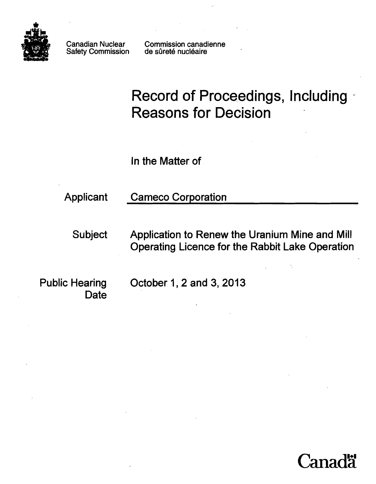

Safety Commission

Canadian Nuclear Commission canadienne<br>Safety Commission de sûreté nucléaire

# Record of Proceedings, Including *<sup>w</sup>* Reasons for Decision

In the Matter of

Applicant Cameco Corporation

Subject Application to Renew the Uranium Mine and Mill Operating Licence for the Rabbit Lake Operation

**Date** 

Public Hearing October 1, 2 and 3, 2013

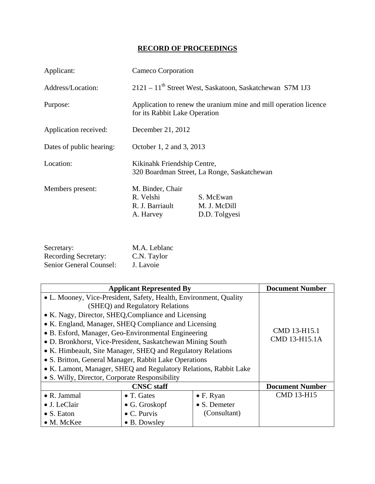# **RECORD OF PROCEEDINGS**

| Applicant:               | Cameco Corporation                                                                                |                                                                        |
|--------------------------|---------------------------------------------------------------------------------------------------|------------------------------------------------------------------------|
| Address/Location:        |                                                                                                   | $2121 - 11$ <sup>th</sup> Street West, Saskatoon, Saskatchewan S7M 1J3 |
| Purpose:                 | Application to renew the uranium mine and mill operation licence<br>for its Rabbit Lake Operation |                                                                        |
| Application received:    | December 21, 2012                                                                                 |                                                                        |
| Dates of public hearing: | October 1, 2 and 3, 2013                                                                          |                                                                        |
| Location:                | Kikinahk Friendship Centre,<br>320 Boardman Street, La Ronge, Saskatchewan                        |                                                                        |
| Members present:         | M. Binder, Chair<br>R. Velshi<br>R. J. Barriault<br>A. Harvey                                     | S. McEwan<br>M. J. McDill<br>D.D. Tolgyesi                             |

| Secretary:                  | M.A. Leblanc |
|-----------------------------|--------------|
| <b>Recording Secretary:</b> | C.N. Taylor  |
| Senior General Counsel:     | J. Lavoie    |

| <b>Applicant Represented By</b>                                   |                       | <b>Document Number</b> |                   |
|-------------------------------------------------------------------|-----------------------|------------------------|-------------------|
| • L. Mooney, Vice-President, Safety, Health, Environment, Quality |                       |                        |                   |
| (SHEQ) and Regulatory Relations                                   |                       |                        |                   |
| • K. Nagy, Director, SHEQ, Compliance and Licensing               |                       |                        |                   |
| • K. England, Manager, SHEQ Compliance and Licensing              |                       |                        |                   |
| • B. Esford, Manager, Geo-Environmental Engineering               |                       | CMD 13-H15.1           |                   |
| • D. Bronkhorst, Vice-President, Saskatchewan Mining South        |                       | CMD 13-H15.1A          |                   |
| • K. Himbeault, Site Manager, SHEQ and Regulatory Relations       |                       |                        |                   |
| • S. Britton, General Manager, Rabbit Lake Operations             |                       |                        |                   |
| • K. Lamont, Manager, SHEQ and Regulatory Relations, Rabbit Lake  |                       |                        |                   |
| • S. Willy, Director, Corporate Responsibility                    |                       |                        |                   |
| <b>CNSC</b> staff                                                 |                       | <b>Document Number</b> |                   |
| • R. Jammal                                                       | $\bullet$ T. Gates    | $\bullet$ F. Ryan      | <b>CMD 13-H15</b> |
| • J. LeClair                                                      | $\bullet$ G. Groskopf | $\bullet$ S. Demeter   |                   |
| • S. Eaton                                                        | $\bullet$ C. Purvis   | (Consultant)           |                   |
| • M. McKee                                                        | $\bullet$ B. Dowsley  |                        |                   |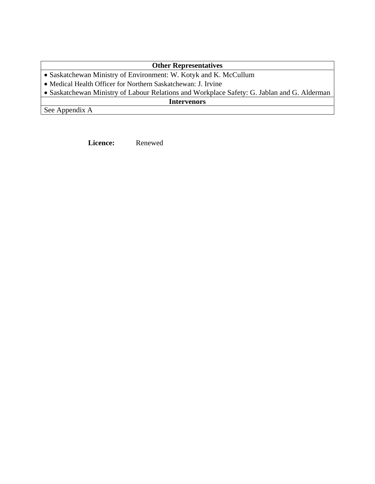# **Other Representatives**

- Saskatchewan Ministry of Environment: W. Kotyk and K. McCullum
- Medical Health Officer for Northern Saskatchewan: J. Irvine
- Saskatchewan Ministry of Labour Relations and Workplace Safety: G. Jablan and G. Alderman

**Intervenors** 

See Appendix A

Licence: Renewed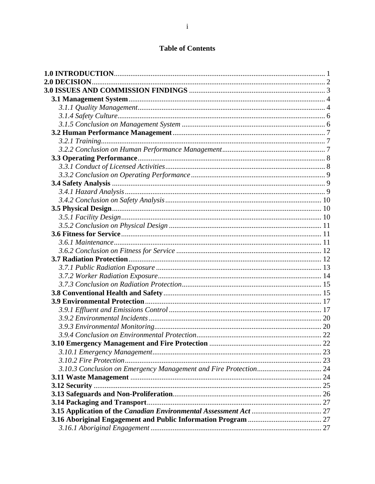# **Table of Contents**

| <b>2.0 DECISION</b> |  |
|---------------------|--|
|                     |  |
|                     |  |
|                     |  |
|                     |  |
|                     |  |
|                     |  |
|                     |  |
|                     |  |
|                     |  |
|                     |  |
|                     |  |
|                     |  |
|                     |  |
|                     |  |
|                     |  |
|                     |  |
|                     |  |
|                     |  |
|                     |  |
|                     |  |
|                     |  |
|                     |  |
|                     |  |
|                     |  |
|                     |  |
|                     |  |
|                     |  |
|                     |  |
|                     |  |
|                     |  |
|                     |  |
|                     |  |
|                     |  |
|                     |  |
|                     |  |
|                     |  |
|                     |  |
|                     |  |
|                     |  |
|                     |  |
|                     |  |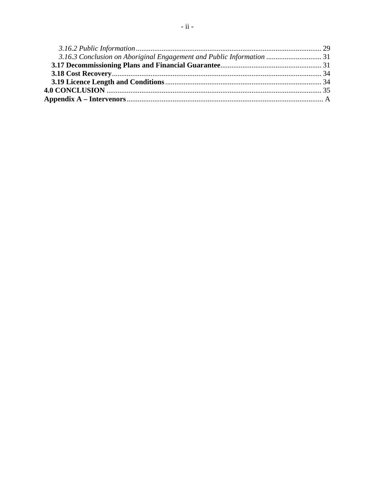| 3.16.3 Conclusion on Aboriginal Engagement and Public Information  31 |  |
|-----------------------------------------------------------------------|--|
|                                                                       |  |
|                                                                       |  |
|                                                                       |  |
|                                                                       |  |
|                                                                       |  |
|                                                                       |  |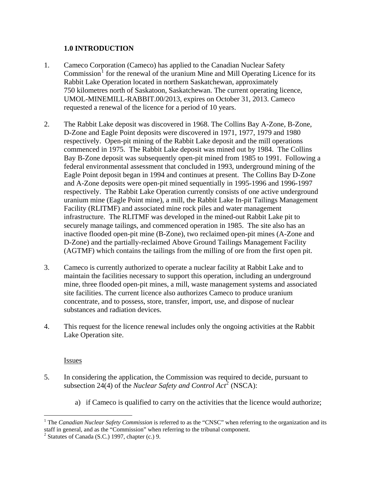### **1.0 INTRODUCTION**

- <span id="page-5-0"></span>Cameco Corporation (Cameco) has applied to the Canadian Nuclear Safety  $Commission<sup>1</sup>$  $Commission<sup>1</sup>$  $Commission<sup>1</sup>$  for the renewal of the uranium Mine and Mill Operating Licence for its Rabbit Lake Operation located in northern Saskatchewan, approximately 750 kilometres north of Saskatoon, Saskatchewan. The current operating licence, UMOL-MINEMILL-RABBIT.00/2013, expires on October 31, 2013. Cameco requested a renewal of the licence for a period of 10 years. 1.
- The Rabbit Lake deposit was discovered in 1968. The Collins Bay A-Zone, B-Zone, D-Zone and Eagle Point deposits were discovered in 1971, 1977, 1979 and 1980 respectively. Open-pit mining of the Rabbit Lake deposit and the mill operations commenced in 1975. The Rabbit Lake deposit was mined out by 1984. The Collins Bay B-Zone deposit was subsequently open-pit mined from 1985 to 1991. Following a federal environmental assessment that concluded in 1993, underground mining of the Eagle Point deposit began in 1994 and continues at present. The Collins Bay D-Zone and A-Zone deposits were open-pit mined sequentially in 1995-1996 and 1996-1997 respectively. The Rabbit Lake Operation currently consists of one active underground uranium mine (Eagle Point mine), a mill, the Rabbit Lake In-pit Tailings Management Facility (RLITMF) and associated mine rock piles and water management infrastructure. The RLITMF was developed in the mined-out Rabbit Lake pit to securely manage tailings, and commenced operation in 1985. The site also has an inactive flooded open-pit mine (B-Zone), two reclaimed open-pit mines (A-Zone and D-Zone) and the partially-reclaimed Above Ground Tailings Management Facility (AGTMF) which contains the tailings from the milling of ore from the first open pit. 2.
- Cameco is currently authorized to operate a nuclear facility at Rabbit Lake and to maintain the facilities necessary to support this operation, including an underground mine, three flooded open-pit mines, a mill, waste management systems and associated site facilities. The current licence also authorizes Cameco to produce uranium concentrate, and to possess, store, transfer, import, use, and dispose of nuclear substances and radiation devices. 3.
- This request for the licence renewal includes only the ongoing activities at the Rabbit Lake Operation site. 4.

#### Issues

 $\overline{a}$ 

- In considering the application, the Commission was required to decide, pursuant to subsection [2](#page-5-2)4(4) of the *Nuclear Safety and Control Act*<sup>2</sup> (NSCA): 5.
	- a) if Cameco is qualified to carry on the activities that the licence would authorize;

<span id="page-5-1"></span><sup>&</sup>lt;sup>1</sup> The *Canadian Nuclear Safety Commission* is referred to as the "CNSC" when referring to the organization and its staff in general, and as the "Commission" when referring to the tribunal component.

<span id="page-5-2"></span> $2$  Statutes of Canada (S.C.) 1997, chapter (c.) 9.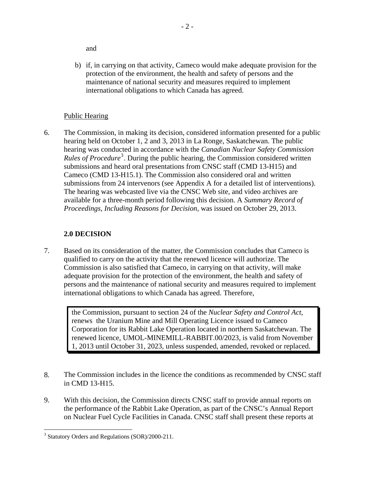<span id="page-6-0"></span>and

b) if, in carrying on that activity, Cameco would make adequate provision for the protection of the environment, the health and safety of persons and the maintenance of national security and measures required to implement international obligations to which Canada has agreed.

# Public Hearing

6. The Commission, in making its decision, considered information presented for a public hearing held on October 1, 2 and 3, 2013 in La Ronge, Saskatchewan. The public hearing was conducted in accordance with the *Canadian Nuclear Safety Commission*  Rules of Procedure<sup>[3](#page-6-1)</sup>. During the public hearing, the Commission considered written submissions and heard oral presentations from CNSC staff (CMD 13-H15) and Cameco (CMD 13-H15.1). The Commission also considered oral and written submissions from 24 intervenors (see Appendix A for a detailed list of interventions). The hearing was webcasted live via the CNSC Web site, and video archives are available for a three-month period following this decision. A *Summary Record of Proceedings, Including Reasons for Decision,* was issued on October 29, 2013.

# **2.0 DECISION**

7. Based on its consideration of the matter, the Commission concludes that Cameco is qualified to carry on the activity that the renewed licence will authorize. The Commission is also satisfied that Cameco, in carrying on that activity, will make adequate provision for the protection of the environment, the health and safety of persons and the maintenance of national security and measures required to implement international obligations to which Canada has agreed. Therefore,

> the Commission, pursuant to section 24 of the *Nuclear Safety and Control Act*, renews the Uranium Mine and Mill Operating Licence issued to Cameco Corporation for its Rabbit Lake Operation located in northern Saskatchewan. The renewed licence, UMOL-MINEMILL-RABBIT.00/2023, is valid from November 1, 2013 until October 31, 2023, unless suspended, amended, revoked or replaced.

- 8. The Commission includes in the licence the conditions as recommended by CNSC staff in CMD 13-H15.
- 9. With this decision, the Commission directs CNSC staff to provide annual reports on the performance of the Rabbit Lake Operation, as part of the CNSC's Annual Report on Nuclear Fuel Cycle Facilities in Canada. CNSC staff shall present these reports at

<span id="page-6-1"></span> $\overline{a}$ <sup>3</sup> Statutory Orders and Regulations (SOR)/2000-211.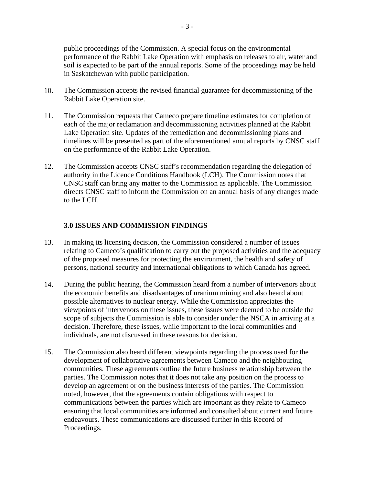<span id="page-7-0"></span>public proceedings of the Commission. A special focus on the environmental performance of the Rabbit Lake Operation with emphasis on releases to air, water and soil is expected to be part of the annual reports. Some of the proceedings may be held in Saskatchewan with public participation.

- 10. The Commission accepts the revised financial guarantee for decommissioning of the Rabbit Lake Operation site.
- 11. The Commission requests that Cameco prepare timeline estimates for completion of each of the major reclamation and decommissioning activities planned at the Rabbit Lake Operation site. Updates of the remediation and decommissioning plans and timelines will be presented as part of the aforementioned annual reports by CNSC staff on the performance of the Rabbit Lake Operation.
- 12. The Commission accepts CNSC staff's recommendation regarding the delegation of authority in the Licence Conditions Handbook (LCH). The Commission notes that CNSC staff can bring any matter to the Commission as applicable. The Commission directs CNSC staff to inform the Commission on an annual basis of any changes made to the LCH.

#### **3.0 ISSUES AND COMMISSION FINDINGS**

- 13. In making its licensing decision, the Commission considered a number of issues relating to Cameco's qualification to carry out the proposed activities and the adequacy of the proposed measures for protecting the environment, the health and safety of persons, national security and international obligations to which Canada has agreed.
- 14. During the public hearing, the Commission heard from a number of intervenors about the economic benefits and disadvantages of uranium mining and also heard about possible alternatives to nuclear energy. While the Commission appreciates the viewpoints of intervenors on these issues, these issues were deemed to be outside the scope of subjects the Commission is able to consider under the NSCA in arriving at a decision. Therefore, these issues, while important to the local communities and individuals, are not discussed in these reasons for decision.
- 15. The Commission also heard different viewpoints regarding the process used for the development of collaborative agreements between Cameco and the neighbouring communities. These agreements outline the future business relationship between the parties. The Commission notes that it does not take any position on the process to develop an agreement or on the business interests of the parties. The Commission noted, however, that the agreements contain obligations with respect to communications between the parties which are important as they relate to Cameco ensuring that local communities are informed and consulted about current and future endeavours. These communications are discussed further in this Record of Proceedings.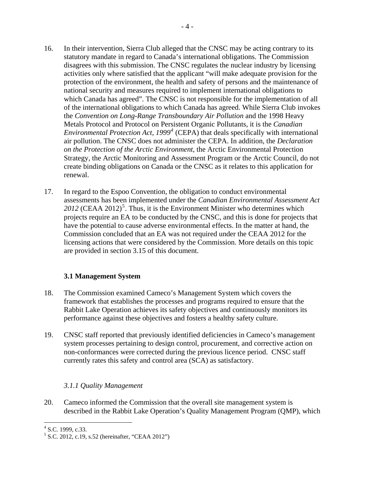- <span id="page-8-0"></span>16. In their intervention, Sierra Club alleged that the CNSC may be acting contrary to its statutory mandate in regard to Canada's international obligations. The Commission disagrees with this submission. The CNSC regulates the nuclear industry by licensing activities only where satisfied that the applicant "will make adequate provision for the protection of the environment, the health and safety of persons and the maintenance of national security and measures required to implement international obligations to which Canada has agreed". The CNSC is not responsible for the implementation of all of the international obligations to which Canada has agreed. While Sierra Club invokes the *Convention on Long-Range Transboundary Air Pollution* and the 1998 Heavy Metals Protocol and Protocol on Persistent Organic Pollutants, it is the *Canadian Environmental Protection Act, 1999[4](#page-8-1)* (CEPA) that deals specifically with international air pollution. The CNSC does not administer the CEPA. In addition*,* the *Declaration on the Protection of the Arctic Environment*, the Arctic Environmental Protection Strategy, the Arctic Monitoring and Assessment Program or the Arctic Council, do not create binding obligations on Canada or the CNSC as it relates to this application for renewal.
- 17. In regard to the Espoo Convention, the obligation to conduct environmental assessments has been implemented under the *Canadian Environmental Assessment Act*   $2012$  (CEAA  $2012$ )<sup>[5](#page-8-2)</sup>. Thus, it is the Environment Minister who determines which projects require an EA to be conducted by the CNSC, and this is done for projects that have the potential to cause adverse environmental effects. In the matter at hand, the Commission concluded that an EA was not required under the CEAA 2012 for the licensing actions that were considered by the Commission. More details on this topic are provided in section 3.15 of this document.

# **3.1 Management System**

- 18. The Commission examined Cameco's Management System which covers the framework that establishes the processes and programs required to ensure that the Rabbit Lake Operation achieves its safety objectives and continuously monitors its performance against these objectives and fosters a healthy safety culture.
- 19. CNSC staff reported that previously identified deficiencies in Cameco's management system processes pertaining to design control, procurement, and corrective action on non-conformances were corrected during the previous licence period. CNSC staff currently rates this safety and control area (SCA) as satisfactory.

# *3.1.1 Quality Management*

20. Cameco informed the Commission that the overall site management system is described in the Rabbit Lake Operation's Quality Management Program (QMP), which

 $4$  S.C. 1999, c.33.

<span id="page-8-2"></span><span id="page-8-1"></span><sup>&</sup>lt;sup>5</sup> S.C. 2012, c.19, s.52 (hereinafter, "CEAA 2012")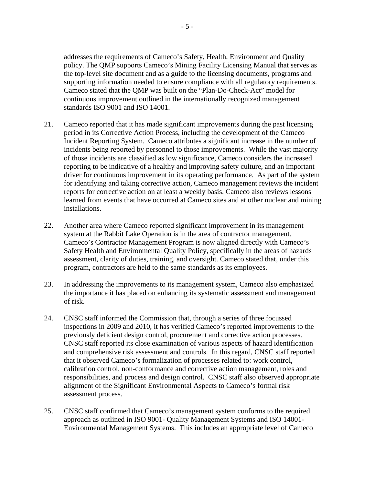<span id="page-9-0"></span>addresses the requirements of Cameco's Safety, Health, Environment and Quality policy. The QMP supports Cameco's Mining Facility Licensing Manual that serves as the top-level site document and as a guide to the licensing documents, programs and supporting information needed to ensure compliance with all regulatory requirements. Cameco stated that the QMP was built on the "Plan-Do-Check-Act" model for continuous improvement outlined in the internationally recognized management standards ISO 9001 and ISO 14001.

- 21. Cameco reported that it has made significant improvements during the past licensing period in its Corrective Action Process, including the development of the Cameco Incident Reporting System. Cameco attributes a significant increase in the number of incidents being reported by personnel to those improvements. While the vast majority of those incidents are classified as low significance, Cameco considers the increased reporting to be indicative of a healthy and improving safety culture, and an important driver for continuous improvement in its operating performance. As part of the system for identifying and taking corrective action, Cameco management reviews the incident reports for corrective action on at least a weekly basis. Cameco also reviews lessons learned from events that have occurred at Cameco sites and at other nuclear and mining installations.
- 22. Another area where Cameco reported significant improvement in its management system at the Rabbit Lake Operation is in the area of contractor management. Cameco's Contractor Management Program is now aligned directly with Cameco's Safety Health and Environmental Quality Policy, specifically in the areas of hazards assessment, clarity of duties, training, and oversight. Cameco stated that, under this program, contractors are held to the same standards as its employees.
- 23. In addressing the improvements to its management system, Cameco also emphasized the importance it has placed on enhancing its systematic assessment and management of risk.
- 24. CNSC staff informed the Commission that, through a series of three focussed inspections in 2009 and 2010, it has verified Cameco's reported improvements to the previously deficient design control, procurement and corrective action processes. CNSC staff reported its close examination of various aspects of hazard identification and comprehensive risk assessment and controls. In this regard, CNSC staff reported that it observed Cameco's formalization of processes related to: work control, calibration control, non-conformance and corrective action management, roles and responsibilities, and process and design control. CNSC staff also observed appropriate alignment of the Significant Environmental Aspects to Cameco's formal risk assessment process.
- 25. CNSC staff confirmed that Cameco's management system conforms to the required approach as outlined in ISO 9001- Quality Management Systems and ISO 14001- Environmental Management Systems. This includes an appropriate level of Cameco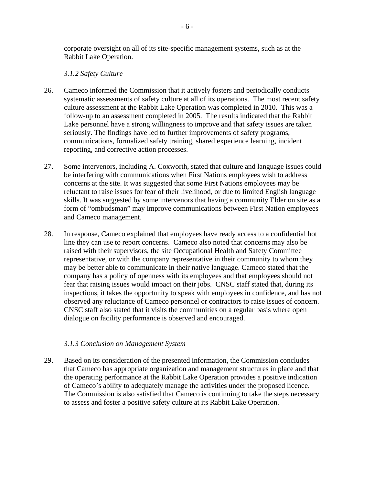corporate oversight on all of its site-specific management systems, such as at the Rabbit Lake Operation.

#### *3.1.2 Safety Culture*

- 26. Cameco informed the Commission that it actively fosters and periodically conducts systematic assessments of safety culture at all of its operations. The most recent safety culture assessment at the Rabbit Lake Operation was completed in 2010. This was a follow-up to an assessment completed in 2005. The results indicated that the Rabbit Lake personnel have a strong willingness to improve and that safety issues are taken seriously. The findings have led to further improvements of safety programs, communications, formalized safety training, shared experience learning, incident reporting, and corrective action processes.
- 27. Some intervenors, including A. Coxworth, stated that culture and language issues could be interfering with communications when First Nations employees wish to address concerns at the site. It was suggested that some First Nations employees may be reluctant to raise issues for fear of their livelihood, or due to limited English language skills. It was suggested by some intervenors that having a community Elder on site as a form of "ombudsman" may improve communications between First Nation employees and Cameco management.
- 28. In response, Cameco explained that employees have ready access to a confidential hot line they can use to report concerns. Cameco also noted that concerns may also be raised with their supervisors, the site Occupational Health and Safety Committee representative, or with the company representative in their community to whom they may be better able to communicate in their native language. Cameco stated that the company has a policy of openness with its employees and that employees should not fear that raising issues would impact on their jobs. CNSC staff stated that, during its inspections, it takes the opportunity to speak with employees in confidence, and has not observed any reluctance of Cameco personnel or contractors to raise issues of concern. CNSC staff also stated that it visits the communities on a regular basis where open dialogue on facility performance is observed and encouraged.

#### *3.1.3 Conclusion on Management System*

29. Based on its consideration of the presented information, the Commission concludes that Cameco has appropriate organization and management structures in place and that the operating performance at the Rabbit Lake Operation provides a positive indication of Cameco's ability to adequately manage the activities under the proposed licence. The Commission is also satisfied that Cameco is continuing to take the steps necessary to assess and foster a positive safety culture at its Rabbit Lake Operation.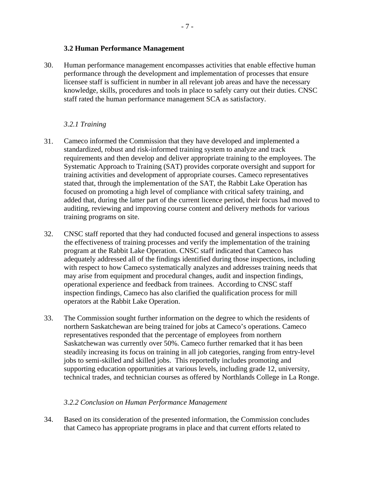#### **3.2 Human Performance Management**

<span id="page-11-0"></span>30. Human performance management encompasses activities that enable effective human performance through the development and implementation of processes that ensure licensee staff is sufficient in number in all relevant job areas and have the necessary knowledge, skills, procedures and tools in place to safely carry out their duties. CNSC staff rated the human performance management SCA as satisfactory.

### *3.2.1 Training*

- 31. Cameco informed the Commission that they have developed and implemented a standardized, robust and risk-informed training system to analyze and track requirements and then develop and deliver appropriate training to the employees. The Systematic Approach to Training (SAT) provides corporate oversight and support for training activities and development of appropriate courses. Cameco representatives stated that, through the implementation of the SAT, the Rabbit Lake Operation has focused on promoting a high level of compliance with critical safety training, and added that, during the latter part of the current licence period, their focus had moved to auditing, reviewing and improving course content and delivery methods for various training programs on site.
- 32. CNSC staff reported that they had conducted focused and general inspections to assess the effectiveness of training processes and verify the implementation of the training program at the Rabbit Lake Operation. CNSC staff indicated that Cameco has adequately addressed all of the findings identified during those inspections, including with respect to how Cameco systematically analyzes and addresses training needs that may arise from equipment and procedural changes, audit and inspection findings, operational experience and feedback from trainees. According to CNSC staff inspection findings, Cameco has also clarified the qualification process for mill operators at the Rabbit Lake Operation.
- 33. The Commission sought further information on the degree to which the residents of northern Saskatchewan are being trained for jobs at Cameco's operations. Cameco representatives responded that the percentage of employees from northern Saskatchewan was currently over 50%. Cameco further remarked that it has been steadily increasing its focus on training in all job categories, ranging from entry-level jobs to semi-skilled and skilled jobs. This reportedly includes promoting and supporting education opportunities at various levels, including grade 12, university, technical trades, and technician courses as offered by Northlands College in La Ronge.

#### *3.2.2 Conclusion on Human Performance Management*

34. Based on its consideration of the presented information, the Commission concludes that Cameco has appropriate programs in place and that current efforts related to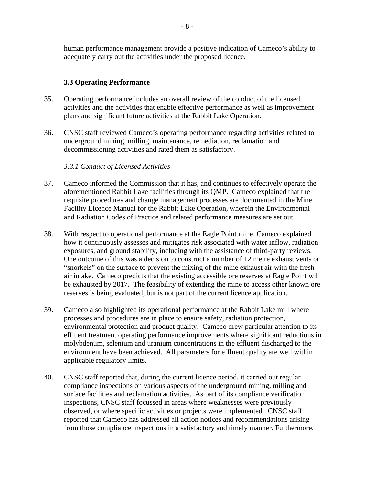<span id="page-12-0"></span>human performance management provide a positive indication of Cameco's ability to adequately carry out the activities under the proposed licence.

## **3.3 Operating Performance**

- 35. Operating performance includes an overall review of the conduct of the licensed activities and the activities that enable effective performance as well as improvement plans and significant future activities at the Rabbit Lake Operation.
- 36. CNSC staff reviewed Cameco's operating performance regarding activities related to underground mining, milling, maintenance, remediation, reclamation and decommissioning activities and rated them as satisfactory.

#### *3.3.1 Conduct of Licensed Activities*

- 37. Cameco informed the Commission that it has, and continues to effectively operate the aforementioned Rabbit Lake facilities through its QMP. Cameco explained that the requisite procedures and change management processes are documented in the Mine Facility Licence Manual for the Rabbit Lake Operation, wherein the Environmental and Radiation Codes of Practice and related performance measures are set out.
- 38. With respect to operational performance at the Eagle Point mine, Cameco explained how it continuously assesses and mitigates risk associated with water inflow, radiation exposures, and ground stability, including with the assistance of third-party reviews. One outcome of this was a decision to construct a number of 12 metre exhaust vents or "snorkels" on the surface to prevent the mixing of the mine exhaust air with the fresh air intake. Cameco predicts that the existing accessible ore reserves at Eagle Point will be exhausted by 2017. The feasibility of extending the mine to access other known ore reserves is being evaluated, but is not part of the current licence application.
- 39. Cameco also highlighted its operational performance at the Rabbit Lake mill where processes and procedures are in place to ensure safety, radiation protection, environmental protection and product quality. Cameco drew particular attention to its effluent treatment operating performance improvements where significant reductions in molybdenum, selenium and uranium concentrations in the effluent discharged to the environment have been achieved. All parameters for effluent quality are well within applicable regulatory limits.
- 40. CNSC staff reported that, during the current licence period, it carried out regular compliance inspections on various aspects of the underground mining, milling and surface facilities and reclamation activities. As part of its compliance verification inspections, CNSC staff focussed in areas where weaknesses were previously observed, or where specific activities or projects were implemented. CNSC staff reported that Cameco has addressed all action notices and recommendations arising from those compliance inspections in a satisfactory and timely manner. Furthermore,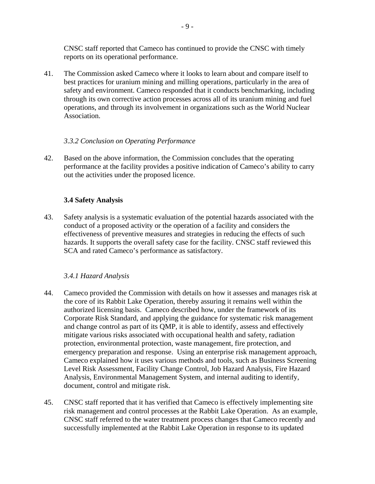<span id="page-13-0"></span>CNSC staff reported that Cameco has continued to provide the CNSC with timely reports on its operational performance.

41. The Commission asked Cameco where it looks to learn about and compare itself to best practices for uranium mining and milling operations, particularly in the area of safety and environment. Cameco responded that it conducts benchmarking, including through its own corrective action processes across all of its uranium mining and fuel operations, and through its involvement in organizations such as the World Nuclear Association.

#### *3.3.2 Conclusion on Operating Performance*

42. Based on the above information, the Commission concludes that the operating performance at the facility provides a positive indication of Cameco's ability to carry out the activities under the proposed licence.

# **3.4 Safety Analysis**

43. Safety analysis is a systematic evaluation of the potential hazards associated with the conduct of a proposed activity or the operation of a facility and considers the effectiveness of preventive measures and strategies in reducing the effects of such hazards. It supports the overall safety case for the facility. CNSC staff reviewed this SCA and rated Cameco's performance as satisfactory.

# *3.4.1 Hazard Analysis*

- 44. Cameco provided the Commission with details on how it assesses and manages risk at the core of its Rabbit Lake Operation, thereby assuring it remains well within the authorized licensing basis. Cameco described how, under the framework of its Corporate Risk Standard, and applying the guidance for systematic risk management and change control as part of its QMP, it is able to identify, assess and effectively mitigate various risks associated with occupational health and safety, radiation protection, environmental protection, waste management, fire protection, and emergency preparation and response. Using an enterprise risk management approach, Cameco explained how it uses various methods and tools, such as Business Screening Level Risk Assessment, Facility Change Control, Job Hazard Analysis, Fire Hazard Analysis, Environmental Management System, and internal auditing to identify, document, control and mitigate risk.
- 45. CNSC staff reported that it has verified that Cameco is effectively implementing site risk management and control processes at the Rabbit Lake Operation. As an example, CNSC staff referred to the water treatment process changes that Cameco recently and successfully implemented at the Rabbit Lake Operation in response to its updated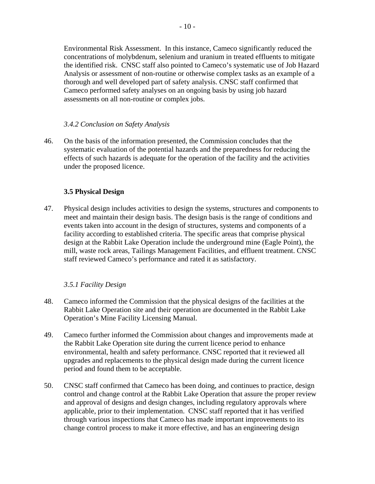<span id="page-14-0"></span>Environmental Risk Assessment. In this instance, Cameco significantly reduced the concentrations of molybdenum, selenium and uranium in treated effluents to mitigate the identified risk. CNSC staff also pointed to Cameco's systematic use of Job Hazard Analysis or assessment of non-routine or otherwise complex tasks as an example of a thorough and well developed part of safety analysis. CNSC staff confirmed that Cameco performed safety analyses on an ongoing basis by using job hazard assessments on all non-routine or complex jobs.

### *3.4.2 Conclusion on Safety Analysis*

46. On the basis of the information presented, the Commission concludes that the systematic evaluation of the potential hazards and the preparedness for reducing the effects of such hazards is adequate for the operation of the facility and the activities under the proposed licence.

#### **3.5 Physical Design**

47. Physical design includes activities to design the systems, structures and components to meet and maintain their design basis. The design basis is the range of conditions and events taken into account in the design of structures, systems and components of a facility according to established criteria. The specific areas that comprise physical design at the Rabbit Lake Operation include the underground mine (Eagle Point), the mill, waste rock areas, Tailings Management Facilities, and effluent treatment. CNSC staff reviewed Cameco's performance and rated it as satisfactory.

# *3.5.1 Facility Design*

- 48. Cameco informed the Commission that the physical designs of the facilities at the Rabbit Lake Operation site and their operation are documented in the Rabbit Lake Operation's Mine Facility Licensing Manual.
- 49. Cameco further informed the Commission about changes and improvements made at the Rabbit Lake Operation site during the current licence period to enhance environmental, health and safety performance. CNSC reported that it reviewed all upgrades and replacements to the physical design made during the current licence period and found them to be acceptable.
- 50. CNSC staff confirmed that Cameco has been doing, and continues to practice, design control and change control at the Rabbit Lake Operation that assure the proper review and approval of designs and design changes, including regulatory approvals where applicable, prior to their implementation. CNSC staff reported that it has verified through various inspections that Cameco has made important improvements to its change control process to make it more effective, and has an engineering design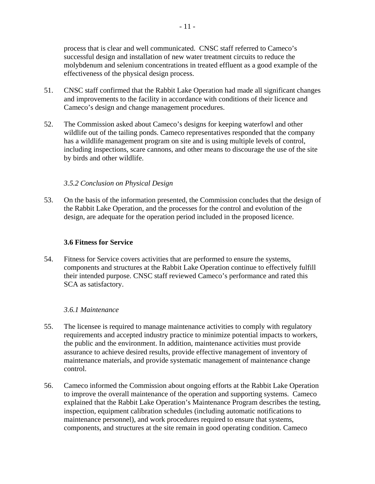- 11 -

<span id="page-15-0"></span>successful design and installation of new water treatment circuits to reduce the molybdenum and selenium concentrations in treated effluent as a good example of the effectiveness of the physical design process.

- 51. CNSC staff confirmed that the Rabbit Lake Operation had made all significant changes and improvements to the facility in accordance with conditions of their licence and Cameco's design and change management procedures.
- 52. The Commission asked about Cameco's designs for keeping waterfowl and other wildlife out of the tailing ponds. Cameco representatives responded that the company has a wildlife management program on site and is using multiple levels of control, including inspections, scare cannons, and other means to discourage the use of the site by birds and other wildlife.

# *3.5.2 Conclusion on Physical Design*

53. On the basis of the information presented, the Commission concludes that the design of the Rabbit Lake Operation, and the processes for the control and evolution of the design, are adequate for the operation period included in the proposed licence.

# **3.6 Fitness for Service**

54. Fitness for Service covers activities that are performed to ensure the systems, components and structures at the Rabbit Lake Operation continue to effectively fulfill their intended purpose. CNSC staff reviewed Cameco's performance and rated this SCA as satisfactory.

# *3.6.1 Maintenance*

- 55. The licensee is required to manage maintenance activities to comply with regulatory requirements and accepted industry practice to minimize potential impacts to workers, the public and the environment. In addition, maintenance activities must provide assurance to achieve desired results, provide effective management of inventory of maintenance materials, and provide systematic management of maintenance change control.
- 56. Cameco informed the Commission about ongoing efforts at the Rabbit Lake Operation to improve the overall maintenance of the operation and supporting systems. Cameco explained that the Rabbit Lake Operation's Maintenance Program describes the testing, inspection, equipment calibration schedules (including automatic notifications to maintenance personnel), and work procedures required to ensure that systems, components, and structures at the site remain in good operating condition. Cameco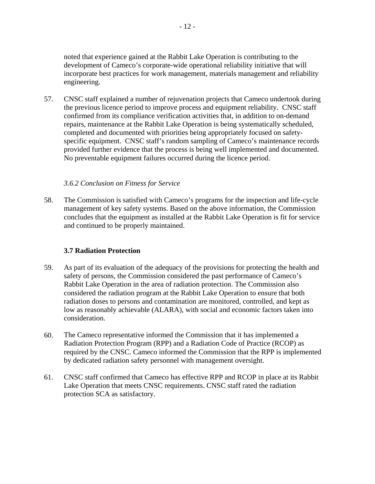<span id="page-16-0"></span>noted that experience gained at the Rabbit Lake Operation is contributing to the development of Cameco's corporate-wide operational reliability initiative that will incorporate best practices for work management, materials management and reliability engineering.

57. CNSC staff explained a number of rejuvenation projects that Cameco undertook during the previous licence period to improve process and equipment reliability. CNSC staff confirmed from its compliance verification activities that, in addition to on-demand repairs, maintenance at the Rabbit Lake Operation is being systematically scheduled, completed and documented with priorities being appropriately focused on safetyspecific equipment. CNSC staff's random sampling of Cameco's maintenance records provided further evidence that the process is being well implemented and documented. No preventable equipment failures occurred during the licence period.

#### *3.6.2 Conclusion on Fitness for Service*

58. The Commission is satisfied with Cameco's programs for the inspection and life-cycle management of key safety systems. Based on the above information, the Commission concludes that the equipment as installed at the Rabbit Lake Operation is fit for service and continued to be properly maintained.

# **3.7 Radiation Protection**

- 59. As part of its evaluation of the adequacy of the provisions for protecting the health and safety of persons, the Commission considered the past performance of Cameco's Rabbit Lake Operation in the area of radiation protection. The Commission also considered the radiation program at the Rabbit Lake Operation to ensure that both radiation doses to persons and contamination are monitored, controlled, and kept as low as reasonably achievable (ALARA), with social and economic factors taken into consideration.
- 60. The Cameco representative informed the Commission that it has implemented a Radiation Protection Program (RPP) and a Radiation Code of Practice (RCOP) as required by the CNSC. Cameco informed the Commission that the RPP is implemented by dedicated radiation safety personnel with management oversight.
- 61. CNSC staff confirmed that Cameco has effective RPP and RCOP in place at its Rabbit Lake Operation that meets CNSC requirements. CNSC staff rated the radiation protection SCA as satisfactory.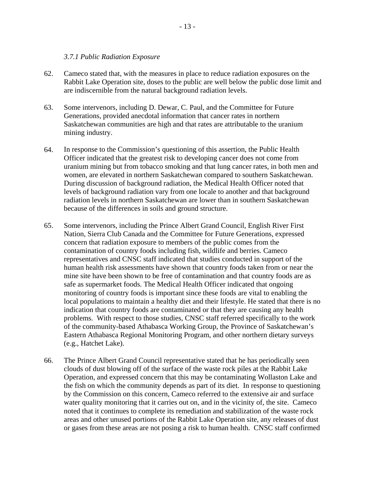#### *3.7.1 Public Radiation Exposure*

- <span id="page-17-0"></span>62. Cameco stated that, with the measures in place to reduce radiation exposures on the Rabbit Lake Operation site, doses to the public are well below the public dose limit and are indiscernible from the natural background radiation levels.
- 63. Some intervenors, including D. Dewar, C. Paul, and the Committee for Future Generations, provided anecdotal information that cancer rates in northern Saskatchewan communities are high and that rates are attributable to the uranium mining industry.
- 64. In response to the Commission's questioning of this assertion, the Public Health Officer indicated that the greatest risk to developing cancer does not come from uranium mining but from tobacco smoking and that lung cancer rates, in both men and women, are elevated in northern Saskatchewan compared to southern Saskatchewan. During discussion of background radiation, the Medical Health Officer noted that levels of background radiation vary from one locale to another and that background radiation levels in northern Saskatchewan are lower than in southern Saskatchewan because of the differences in soils and ground structure.
- 65. Some intervenors, including the Prince Albert Grand Council, English River First Nation, Sierra Club Canada and the Committee for Future Generations, expressed concern that radiation exposure to members of the public comes from the contamination of country foods including fish, wildlife and berries. Cameco representatives and CNSC staff indicated that studies conducted in support of the human health risk assessments have shown that country foods taken from or near the mine site have been shown to be free of contamination and that country foods are as safe as supermarket foods. The Medical Health Officer indicated that ongoing monitoring of country foods is important since these foods are vital to enabling the local populations to maintain a healthy diet and their lifestyle. He stated that there is no indication that country foods are contaminated or that they are causing any health problems. With respect to those studies, CNSC staff referred specifically to the work of the community-based Athabasca Working Group, the Province of Saskatchewan's Eastern Athabasca Regional Monitoring Program, and other northern dietary surveys (e.g., Hatchet Lake).
- 66. The Prince Albert Grand Council representative stated that he has periodically seen clouds of dust blowing off of the surface of the waste rock piles at the Rabbit Lake Operation, and expressed concern that this may be contaminating Wollaston Lake and the fish on which the community depends as part of its diet. In response to questioning by the Commission on this concern, Cameco referred to the extensive air and surface water quality monitoring that it carries out on, and in the vicinity of, the site. Cameco noted that it continues to complete its remediation and stabilization of the waste rock areas and other unused portions of the Rabbit Lake Operation site, any releases of dust or gases from these areas are not posing a risk to human health. CNSC staff confirmed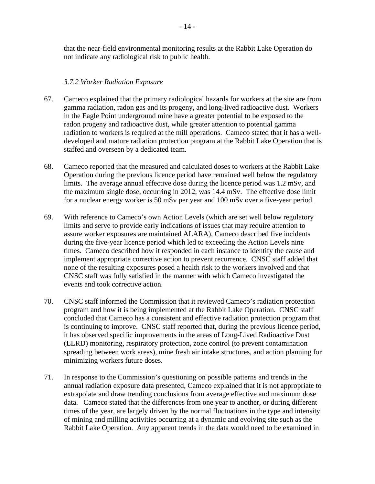<span id="page-18-0"></span>that the near-field environmental monitoring results at the Rabbit Lake Operation do not indicate any radiological risk to public health.

#### *3.7.2 Worker Radiation Exposure*

- 67. Cameco explained that the primary radiological hazards for workers at the site are from gamma radiation, radon gas and its progeny, and long-lived radioactive dust. Workers in the Eagle Point underground mine have a greater potential to be exposed to the radon progeny and radioactive dust, while greater attention to potential gamma radiation to workers is required at the mill operations. Cameco stated that it has a welldeveloped and mature radiation protection program at the Rabbit Lake Operation that is staffed and overseen by a dedicated team.
- 68. Cameco reported that the measured and calculated doses to workers at the Rabbit Lake Operation during the previous licence period have remained well below the regulatory limits. The average annual effective dose during the licence period was 1.2 mSv, and the maximum single dose, occurring in 2012, was 14.4 mSv. The effective dose limit for a nuclear energy worker is 50 mSv per year and 100 mSv over a five-year period.
- 69. With reference to Cameco's own Action Levels (which are set well below regulatory limits and serve to provide early indications of issues that may require attention to assure worker exposures are maintained ALARA), Cameco described five incidents during the five-year licence period which led to exceeding the Action Levels nine times. Cameco described how it responded in each instance to identify the cause and implement appropriate corrective action to prevent recurrence. CNSC staff added that none of the resulting exposures posed a health risk to the workers involved and that CNSC staff was fully satisfied in the manner with which Cameco investigated the events and took corrective action.
- 70. CNSC staff informed the Commission that it reviewed Cameco's radiation protection program and how it is being implemented at the Rabbit Lake Operation. CNSC staff concluded that Cameco has a consistent and effective radiation protection program that is continuing to improve. CNSC staff reported that, during the previous licence period, it has observed specific improvements in the areas of Long-Lived Radioactive Dust (LLRD) monitoring, respiratory protection, zone control (to prevent contamination spreading between work areas), mine fresh air intake structures, and action planning for minimizing workers future doses.
- 71. In response to the Commission's questioning on possible patterns and trends in the annual radiation exposure data presented, Cameco explained that it is not appropriate to extrapolate and draw trending conclusions from average effective and maximum dose data. Cameco stated that the differences from one year to another, or during different times of the year, are largely driven by the normal fluctuations in the type and intensity of mining and milling activities occurring at a dynamic and evolving site such as the Rabbit Lake Operation. Any apparent trends in the data would need to be examined in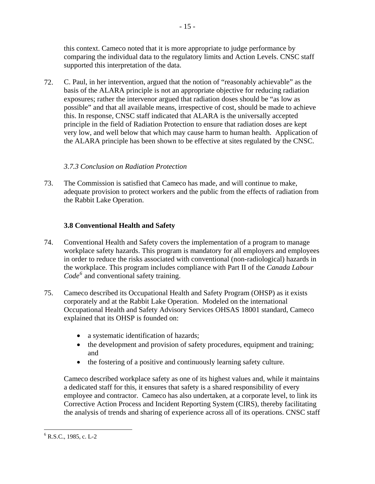<span id="page-19-0"></span>this context. Cameco noted that it is more appropriate to judge performance by comparing the individual data to the regulatory limits and Action Levels. CNSC staff supported this interpretation of the data.

72. C. Paul, in her intervention, argued that the notion of "reasonably achievable" as the basis of the ALARA principle is not an appropriate objective for reducing radiation exposures; rather the intervenor argued that radiation doses should be "as low as possible" and that all available means, irrespective of cost, should be made to achieve this. In response, CNSC staff indicated that ALARA is the universally accepted principle in the field of Radiation Protection to ensure that radiation doses are kept very low, and well below that which may cause harm to human health. Application of the ALARA principle has been shown to be effective at sites regulated by the CNSC.

# *3.7.3 Conclusion on Radiation Protection*

73. The Commission is satisfied that Cameco has made, and will continue to make, adequate provision to protect workers and the public from the effects of radiation from the Rabbit Lake Operation.

# **3.8 Conventional Health and Safety**

- 74. Conventional Health and Safety covers the implementation of a program to manage workplace safety hazards. This program is mandatory for all employers and employees in order to reduce the risks associated with conventional (non-radiological) hazards in the workplace. This program includes compliance with Part II of the *Canada Labour Code[6](#page-19-1)* and conventional safety training.
- 75. Cameco described its Occupational Health and Safety Program (OHSP) as it exists corporately and at the Rabbit Lake Operation. Modeled on the international Occupational Health and Safety Advisory Services OHSAS 18001 standard, Cameco explained that its OHSP is founded on:
	- a systematic identification of hazards;
	- the development and provision of safety procedures, equipment and training; and
	- the fostering of a positive and continuously learning safety culture.

Cameco described workplace safety as one of its highest values and, while it maintains a dedicated staff for this, it ensures that safety is a shared responsibility of every employee and contractor. Cameco has also undertaken, at a corporate level, to link its Corrective Action Process and Incident Reporting System (CIRS), thereby facilitating the analysis of trends and sharing of experience across all of its operations. CNSC staff

 $\overline{a}$ 

<span id="page-19-1"></span> $6$  R.S.C., 1985, c. L-2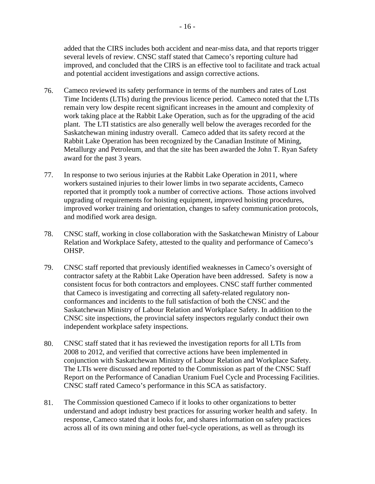<span id="page-20-0"></span>added that the CIRS includes both accident and near-miss data, and that reports trigger several levels of review. CNSC staff stated that Cameco's reporting culture had improved, and concluded that the CIRS is an effective tool to facilitate and track actual and potential accident investigations and assign corrective actions.

- 76. Cameco reviewed its safety performance in terms of the numbers and rates of Lost Time Incidents (LTIs) during the previous licence period. Cameco noted that the LTIs remain very low despite recent significant increases in the amount and complexity of work taking place at the Rabbit Lake Operation, such as for the upgrading of the acid plant. The LTI statistics are also generally well below the averages recorded for the Saskatchewan mining industry overall. Cameco added that its safety record at the Rabbit Lake Operation has been recognized by the Canadian Institute of Mining, Metallurgy and Petroleum, and that the site has been awarded the John T. Ryan Safety award for the past 3 years.
- 77. In response to two serious injuries at the Rabbit Lake Operation in 2011, where workers sustained injuries to their lower limbs in two separate accidents, Cameco reported that it promptly took a number of corrective actions. Those actions involved upgrading of requirements for hoisting equipment, improved hoisting procedures, improved worker training and orientation, changes to safety communication protocols, and modified work area design.
- 78. CNSC staff, working in close collaboration with the Saskatchewan Ministry of Labour Relation and Workplace Safety, attested to the quality and performance of Cameco's OHSP.
- 79. CNSC staff reported that previously identified weaknesses in Cameco's oversight of contractor safety at the Rabbit Lake Operation have been addressed. Safety is now a consistent focus for both contractors and employees. CNSC staff further commented that Cameco is investigating and correcting all safety-related regulatory nonconformances and incidents to the full satisfaction of both the CNSC and the Saskatchewan Ministry of Labour Relation and Workplace Safety. In addition to the CNSC site inspections, the provincial safety inspectors regularly conduct their own independent workplace safety inspections.
- 80. CNSC staff stated that it has reviewed the investigation reports for all LTIs from 2008 to 2012, and verified that corrective actions have been implemented in conjunction with Saskatchewan Ministry of Labour Relation and Workplace Safety. The LTIs were discussed and reported to the Commission as part of the CNSC Staff Report on the Performance of Canadian Uranium Fuel Cycle and Processing Facilities. CNSC staff rated Cameco's performance in this SCA as satisfactory.
- 81. The Commission questioned Cameco if it looks to other organizations to better understand and adopt industry best practices for assuring worker health and safety. In response, Cameco stated that it looks for, and shares information on safety practices across all of its own mining and other fuel-cycle operations, as well as through its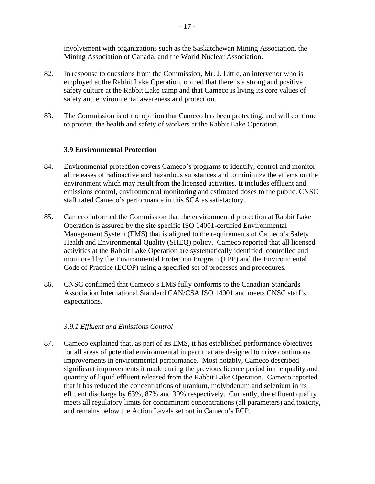involvement with organizations such as the Saskatchewan Mining Association, the Mining Association of Canada, and the World Nuclear Association.

- 82. In response to questions from the Commission, Mr. J. Little, an intervenor who is employed at the Rabbit Lake Operation, opined that there is a strong and positive safety culture at the Rabbit Lake camp and that Cameco is living its core values of safety and environmental awareness and protection.
- 83. The Commission is of the opinion that Cameco has been protecting, and will continue to protect, the health and safety of workers at the Rabbit Lake Operation.

#### **3.9 Environmental Protection**

- 84. Environmental protection covers Cameco's programs to identify, control and monitor all releases of radioactive and hazardous substances and to minimize the effects on the environment which may result from the licensed activities. It includes effluent and emissions control, environmental monitoring and estimated doses to the public. CNSC staff rated Cameco's performance in this SCA as satisfactory.
- 85. Cameco informed the Commission that the environmental protection at Rabbit Lake Operation is assured by the site specific ISO 14001-certified Environmental Management System (EMS) that is aligned to the requirements of Cameco's Safety Health and Environmental Quality (SHEQ) policy. Cameco reported that all licensed activities at the Rabbit Lake Operation are systematically identified, controlled and monitored by the Environmental Protection Program (EPP) and the Environmental Code of Practice (ECOP) using a specified set of processes and procedures.
- 86. CNSC confirmed that Cameco's EMS fully conforms to the Canadian Standards Association International Standard CAN/CSA ISO 14001 and meets CNSC staff's expectations.

#### *3.9.1 Effluent and Emissions Control*

87. Cameco explained that, as part of its EMS, it has established performance objectives for all areas of potential environmental impact that are designed to drive continuous improvements in environmental performance. Most notably, Cameco described significant improvements it made during the previous licence period in the quality and quantity of liquid effluent released from the Rabbit Lake Operation. Cameco reported that it has reduced the concentrations of uranium, molybdenum and selenium in its effluent discharge by 63%, 87% and 30% respectively. Currently, the effluent quality meets all regulatory limits for contaminant concentrations (all parameters) and toxicity, and remains below the Action Levels set out in Cameco's ECP.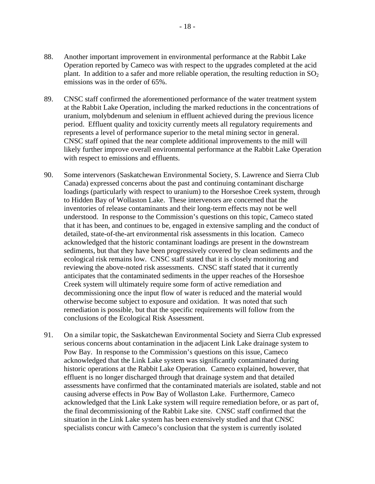- 88. Another important improvement in environmental performance at the Rabbit Lake Operation reported by Cameco was with respect to the upgrades completed at the acid plant. In addition to a safer and more reliable operation, the resulting reduction in  $SO_2$ emissions was in the order of 65%.
- 89. CNSC staff confirmed the aforementioned performance of the water treatment system at the Rabbit Lake Operation, including the marked reductions in the concentrations of uranium, molybdenum and selenium in effluent achieved during the previous licence period. Effluent quality and toxicity currently meets all regulatory requirements and represents a level of performance superior to the metal mining sector in general. CNSC staff opined that the near complete additional improvements to the mill will likely further improve overall environmental performance at the Rabbit Lake Operation with respect to emissions and effluents.
- 90. Some intervenors (Saskatchewan Environmental Society, S. Lawrence and Sierra Club Canada) expressed concerns about the past and continuing contaminant discharge loadings (particularly with respect to uranium) to the Horseshoe Creek system, through to Hidden Bay of Wollaston Lake. These intervenors are concerned that the inventories of release contaminants and their long-term effects may not be well understood. In response to the Commission's questions on this topic, Cameco stated that it has been, and continues to be, engaged in extensive sampling and the conduct of detailed, state-of-the-art environmental risk assessments in this location. Cameco acknowledged that the historic contaminant loadings are present in the downstream sediments, but that they have been progressively covered by clean sediments and the ecological risk remains low. CNSC staff stated that it is closely monitoring and reviewing the above-noted risk assessments. CNSC staff stated that it currently anticipates that the contaminated sediments in the upper reaches of the Horseshoe Creek system will ultimately require some form of active remediation and decommissioning once the input flow of water is reduced and the material would otherwise become subject to exposure and oxidation. It was noted that such remediation is possible, but that the specific requirements will follow from the conclusions of the Ecological Risk Assessment.
- 91. On a similar topic, the Saskatchewan Environmental Society and Sierra Club expressed serious concerns about contamination in the adjacent Link Lake drainage system to Pow Bay. In response to the Commission's questions on this issue, Cameco acknowledged that the Link Lake system was significantly contaminated during historic operations at the Rabbit Lake Operation. Cameco explained, however, that effluent is no longer discharged through that drainage system and that detailed assessments have confirmed that the contaminated materials are isolated, stable and not causing adverse effects in Pow Bay of Wollaston Lake. Furthermore, Cameco acknowledged that the Link Lake system will require remediation before, or as part of, the final decommissioning of the Rabbit Lake site. CNSC staff confirmed that the situation in the Link Lake system has been extensively studied and that CNSC specialists concur with Cameco's conclusion that the system is currently isolated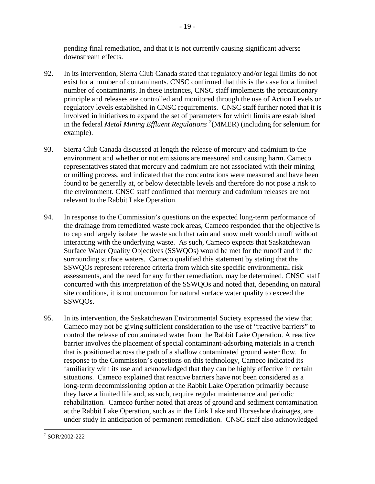<span id="page-23-0"></span>pending final remediation, and that it is not currently causing significant adverse downstream effects.

- 19 -

- 92. In its intervention, Sierra Club Canada stated that regulatory and/or legal limits do not exist for a number of contaminants. CNSC confirmed that this is the case for a limited number of contaminants. In these instances, CNSC staff implements the precautionary principle and releases are controlled and monitored through the use of Action Levels or regulatory levels established in CNSC requirements. CNSC staff further noted that it is involved in initiatives to expand the set of parameters for which limits are established in the federal *Metal Mining Effluent Regulations [7](#page-23-1)* (MMER) (including for selenium for example).
- 93. Sierra Club Canada discussed at length the release of mercury and cadmium to the environment and whether or not emissions are measured and causing harm. Cameco representatives stated that mercury and cadmium are not associated with their mining or milling process, and indicated that the concentrations were measured and have been found to be generally at, or below detectable levels and therefore do not pose a risk to the environment. CNSC staff confirmed that mercury and cadmium releases are not relevant to the Rabbit Lake Operation.
- 94. In response to the Commission's questions on the expected long-term performance of the drainage from remediated waste rock areas, Cameco responded that the objective is to cap and largely isolate the waste such that rain and snow melt would runoff without interacting with the underlying waste. As such, Cameco expects that Saskatchewan Surface Water Quality Objectives (SSWQOs) would be met for the runoff and in the surrounding surface waters. Cameco qualified this statement by stating that the SSWQOs represent reference criteria from which site specific environmental risk assessments, and the need for any further remediation, may be determined. CNSC staff concurred with this interpretation of the SSWQOs and noted that, depending on natural site conditions, it is not uncommon for natural surface water quality to exceed the SSWQOs.
- 95. In its intervention, the Saskatchewan Environmental Society expressed the view that Cameco may not be giving sufficient consideration to the use of "reactive barriers" to control the release of contaminated water from the Rabbit Lake Operation. A reactive barrier involves the placement of special contaminant-adsorbing materials in a trench that is positioned across the path of a shallow contaminated ground water flow. In response to the Commission's questions on this technology, Cameco indicated its familiarity with its use and acknowledged that they can be highly effective in certain situations. Cameco explained that reactive barriers have not been considered as a long-term decommissioning option at the Rabbit Lake Operation primarily because they have a limited life and, as such, require regular maintenance and periodic rehabilitation. Cameco further noted that areas of ground and sediment contamination at the Rabbit Lake Operation, such as in the Link Lake and Horseshoe drainages, are under study in anticipation of permanent remediation. CNSC staff also acknowledged

<u>.</u>

<span id="page-23-1"></span><sup>7</sup> SOR/2002-222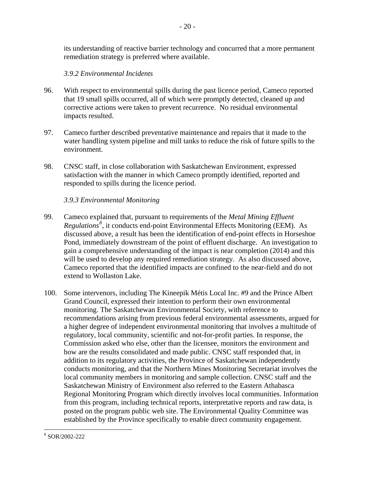its understanding of reactive barrier technology and concurred that a more permanent remediation strategy is preferred where available.

 $-20-$ 

# *3.9.2 Environmental Incidents*

- 96. With respect to environmental spills during the past licence period, Cameco reported that 19 small spills occurred, all of which were promptly detected, cleaned up and corrective actions were taken to prevent recurrence. No residual environmental impacts resulted.
- 97. Cameco further described preventative maintenance and repairs that it made to the water handling system pipeline and mill tanks to reduce the risk of future spills to the environment.
- 98. CNSC staff, in close collaboration with Saskatchewan Environment, expressed satisfaction with the manner in which Cameco promptly identified, reported and responded to spills during the licence period.

#### *3.9.3 Environmental Monitoring*

- 99. Cameco explained that, pursuant to requirements of the *Metal Mining Effluent Regulations[8](#page-24-0)* , it conducts end-point Environmental Effects Monitoring (EEM). As discussed above, a result has been the identification of end-point effects in Horseshoe Pond, immediately downstream of the point of effluent discharge. An investigation to gain a comprehensive understanding of the impact is near completion (2014) and this will be used to develop any required remediation strategy. As also discussed above, Cameco reported that the identified impacts are confined to the near-field and do not extend to Wollaston Lake.
- 100. Some intervenors, including The Kineepik Métis Local Inc. #9 and the Prince Albert Grand Council, expressed their intention to perform their own environmental monitoring. The Saskatchewan Environmental Society, with reference to recommendations arising from previous federal environmental assessments, argued for a higher degree of independent environmental monitoring that involves a multitude of regulatory, local community, scientific and not-for-profit parties. In response, the Commission asked who else, other than the licensee, monitors the environment and how are the results consolidated and made public. CNSC staff responded that, in addition to its regulatory activities, the Province of Saskatchewan independently conducts monitoring, and that the Northern Mines Monitoring Secretariat involves the local community members in monitoring and sample collection. CNSC staff and the Saskatchewan Ministry of Environment also referred to the Eastern Athabasca Regional Monitoring Program which directly involves local communities. Information from this program, including technical reports, interpretative reports and raw data, is posted on the program public web site. The Environmental Quality Committee was established by the Province specifically to enable direct community engagement.

<span id="page-24-0"></span> $\overline{a}$ 8 SOR/2002-222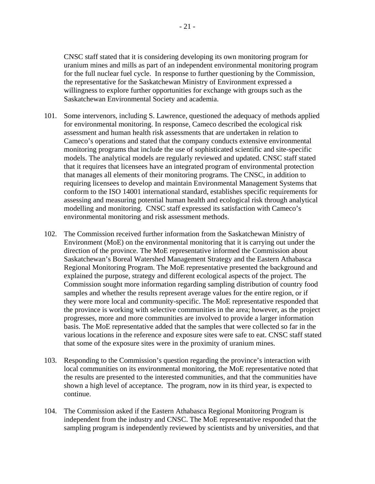<span id="page-25-0"></span>CNSC staff stated that it is considering developing its own monitoring program for uranium mines and mills as part of an independent environmental monitoring program for the full nuclear fuel cycle. In response to further questioning by the Commission, the representative for the Saskatchewan Ministry of Environment expressed a willingness to explore further opportunities for exchange with groups such as the Saskatchewan Environmental Society and academia.

- 101. Some intervenors, including S. Lawrence, questioned the adequacy of methods applied for environmental monitoring. In response, Cameco described the ecological risk assessment and human health risk assessments that are undertaken in relation to Cameco's operations and stated that the company conducts extensive environmental monitoring programs that include the use of sophisticated scientific and site-specific models. The analytical models are regularly reviewed and updated. CNSC staff stated that it requires that licensees have an integrated program of environmental protection that manages all elements of their monitoring programs. The CNSC, in addition to requiring licensees to develop and maintain Environmental Management Systems that conform to the ISO 14001 international standard, establishes specific requirements for assessing and measuring potential human health and ecological risk through analytical modelling and monitoring. CNSC staff expressed its satisfaction with Cameco's environmental monitoring and risk assessment methods.
- 102. The Commission received further information from the Saskatchewan Ministry of Environment (MoE) on the environmental monitoring that it is carrying out under the direction of the province. The MoE representative informed the Commission about Saskatchewan's Boreal Watershed Management Strategy and the Eastern Athabasca Regional Monitoring Program. The MoE representative presented the background and explained the purpose, strategy and different ecological aspects of the project. The Commission sought more information regarding sampling distribution of country food samples and whether the results represent average values for the entire region, or if they were more local and community-specific. The MoE representative responded that the province is working with selective communities in the area; however, as the project progresses, more and more communities are involved to provide a larger information basis. The MoE representative added that the samples that were collected so far in the various locations in the reference and exposure sites were safe to eat. CNSC staff stated that some of the exposure sites were in the proximity of uranium mines.
- 103. Responding to the Commission's question regarding the province's interaction with local communities on its environmental monitoring, the MoE representative noted that the results are presented to the interested communities, and that the communities have shown a high level of acceptance. The program, now in its third year, is expected to continue.
- 104. The Commission asked if the Eastern Athabasca Regional Monitoring Program is independent from the industry and CNSC. The MoE representative responded that the sampling program is independently reviewed by scientists and by universities, and that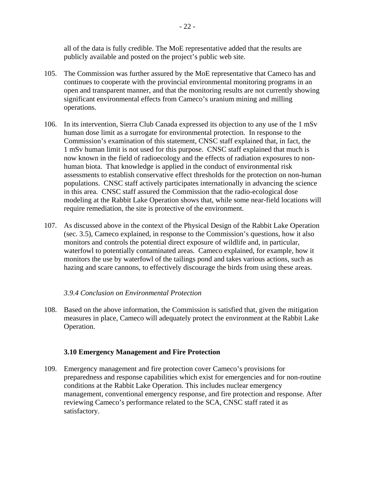all of the data is fully credible. The MoE representative added that the results are publicly available and posted on the project's public web site.

- 105. The Commission was further assured by the MoE representative that Cameco has and continues to cooperate with the provincial environmental monitoring programs in an open and transparent manner, and that the monitoring results are not currently showing significant environmental effects from Cameco's uranium mining and milling operations.
- 106. In its intervention, Sierra Club Canada expressed its objection to any use of the 1 mSv human dose limit as a surrogate for environmental protection. In response to the Commission's examination of this statement, CNSC staff explained that, in fact, the 1 mSv human limit is not used for this purpose. CNSC staff explained that much is now known in the field of radioecology and the effects of radiation exposures to nonhuman biota. That knowledge is applied in the conduct of environmental risk assessments to establish conservative effect thresholds for the protection on non-human populations. CNSC staff actively participates internationally in advancing the science in this area. CNSC staff assured the Commission that the radio-ecological dose modeling at the Rabbit Lake Operation shows that, while some near-field locations will require remediation, the site is protective of the environment.
- 107. As discussed above in the context of the Physical Design of the Rabbit Lake Operation (sec. 3.5), Cameco explained, in response to the Commission's questions, how it also monitors and controls the potential direct exposure of wildlife and, in particular, waterfowl to potentially contaminated areas. Cameco explained, for example, how it monitors the use by waterfowl of the tailings pond and takes various actions, such as hazing and scare cannons, to effectively discourage the birds from using these areas.

#### *3.9.4 Conclusion on Environmental Protection*

108. Based on the above information, the Commission is satisfied that, given the mitigation measures in place, Cameco will adequately protect the environment at the Rabbit Lake Operation.

#### **3.10 Emergency Management and Fire Protection**

109. Emergency management and fire protection cover Cameco's provisions for preparedness and response capabilities which exist for emergencies and for non-routine conditions at the Rabbit Lake Operation. This includes nuclear emergency management, conventional emergency response, and fire protection and response. After reviewing Cameco's performance related to the SCA, CNSC staff rated it as satisfactory.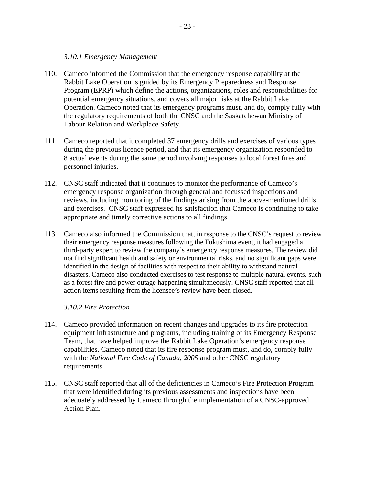#### *3.10.1 Emergency Management*

- <span id="page-27-0"></span>110. Cameco informed the Commission that the emergency response capability at the Rabbit Lake Operation is guided by its Emergency Preparedness and Response Program (EPRP) which define the actions, organizations, roles and responsibilities for potential emergency situations, and covers all major risks at the Rabbit Lake Operation. Cameco noted that its emergency programs must, and do, comply fully with the regulatory requirements of both the CNSC and the Saskatchewan Ministry of Labour Relation and Workplace Safety.
- 111. Cameco reported that it completed 37 emergency drills and exercises of various types during the previous licence period, and that its emergency organization responded to 8 actual events during the same period involving responses to local forest fires and personnel injuries.
- 112. CNSC staff indicated that it continues to monitor the performance of Cameco's emergency response organization through general and focussed inspections and reviews, including monitoring of the findings arising from the above-mentioned drills and exercises. CNSC staff expressed its satisfaction that Cameco is continuing to take appropriate and timely corrective actions to all findings.
- 113. Cameco also informed the Commission that, in response to the CNSC's request to review their emergency response measures following the Fukushima event, it had engaged a third-party expert to review the company's emergency response measures. The review did not find significant health and safety or environmental risks, and no significant gaps were identified in the design of facilities with respect to their ability to withstand natural disasters. Cameco also conducted exercises to test response to multiple natural events, such as a forest fire and power outage happening simultaneously. CNSC staff reported that all action items resulting from the licensee's review have been closed.

#### *3.10.2 Fire Protection*

- 114. Cameco provided information on recent changes and upgrades to its fire protection equipment infrastructure and programs, including training of its Emergency Response Team, that have helped improve the Rabbit Lake Operation's emergency response capabilities. Cameco noted that its fire response program must, and do, comply fully with the *National Fire Code of Canada, 2005* and other CNSC regulatory requirements.
- 115. CNSC staff reported that all of the deficiencies in Cameco's Fire Protection Program that were identified during its previous assessments and inspections have been adequately addressed by Cameco through the implementation of a CNSC-approved Action Plan.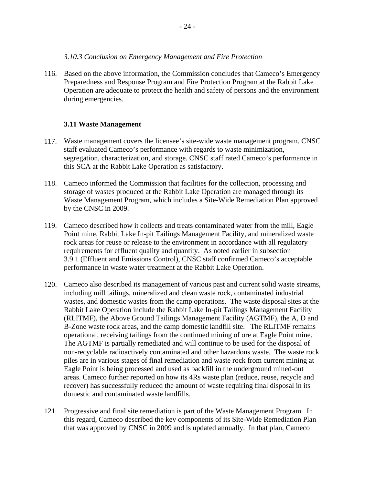<span id="page-28-0"></span>116. Based on the above information, the Commission concludes that Cameco's Emergency Preparedness and Response Program and Fire Protection Program at the Rabbit Lake Operation are adequate to protect the health and safety of persons and the environment during emergencies.

# **3.11 Waste Management**

- 117. Waste management covers the licensee's site-wide waste management program. CNSC staff evaluated Cameco's performance with regards to waste minimization, segregation, characterization, and storage. CNSC staff rated Cameco's performance in this SCA at the Rabbit Lake Operation as satisfactory.
- 118. Cameco informed the Commission that facilities for the collection, processing and storage of wastes produced at the Rabbit Lake Operation are managed through its Waste Management Program, which includes a Site-Wide Remediation Plan approved by the CNSC in 2009.
- 119. Cameco described how it collects and treats contaminated water from the mill, Eagle Point mine, Rabbit Lake In-pit Tailings Management Facility, and mineralized waste rock areas for reuse or release to the environment in accordance with all regulatory requirements for effluent quality and quantity. As noted earlier in subsection 3.9.1 (Effluent and Emissions Control), CNSC staff confirmed Cameco's acceptable performance in waste water treatment at the Rabbit Lake Operation.
- 120. Cameco also described its management of various past and current solid waste streams, including mill tailings, mineralized and clean waste rock, contaminated industrial wastes, and domestic wastes from the camp operations. The waste disposal sites at the Rabbit Lake Operation include the Rabbit Lake In-pit Tailings Management Facility (RLITMF), the Above Ground Tailings Management Facility (AGTMF), the A, D and B-Zone waste rock areas, and the camp domestic landfill site. The RLITMF remains operational, receiving tailings from the continued mining of ore at Eagle Point mine. The AGTMF is partially remediated and will continue to be used for the disposal of non-recyclable radioactively contaminated and other hazardous waste. The waste rock piles are in various stages of final remediation and waste rock from current mining at Eagle Point is being processed and used as backfill in the underground mined-out areas. Cameco further reported on how its 4Rs waste plan (reduce, reuse, recycle and recover) has successfully reduced the amount of waste requiring final disposal in its domestic and contaminated waste landfills.
- 121. Progressive and final site remediation is part of the Waste Management Program. In this regard, Cameco described the key components of its Site-Wide Remediation Plan that was approved by CNSC in 2009 and is updated annually. In that plan, Cameco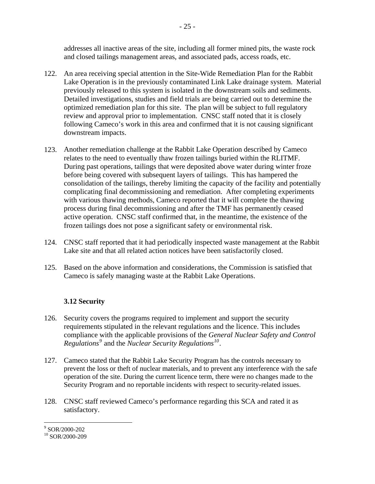<span id="page-29-0"></span>addresses all inactive areas of the site, including all former mined pits, the waste rock and closed tailings management areas, and associated pads, access roads, etc.

- 122. An area receiving special attention in the Site-Wide Remediation Plan for the Rabbit Lake Operation is in the previously contaminated Link Lake drainage system. Material previously released to this system is isolated in the downstream soils and sediments. Detailed investigations, studies and field trials are being carried out to determine the optimized remediation plan for this site. The plan will be subject to full regulatory review and approval prior to implementation. CNSC staff noted that it is closely following Cameco's work in this area and confirmed that it is not causing significant downstream impacts.
- 123. Another remediation challenge at the Rabbit Lake Operation described by Cameco relates to the need to eventually thaw frozen tailings buried within the RLITMF. During past operations, tailings that were deposited above water during winter froze before being covered with subsequent layers of tailings. This has hampered the consolidation of the tailings, thereby limiting the capacity of the facility and potentially complicating final decommissioning and remediation. After completing experiments with various thawing methods, Cameco reported that it will complete the thawing process during final decommissioning and after the TMF has permanently ceased active operation. CNSC staff confirmed that, in the meantime, the existence of the frozen tailings does not pose a significant safety or environmental risk.
- 124. CNSC staff reported that it had periodically inspected waste management at the Rabbit Lake site and that all related action notices have been satisfactorily closed.
- 125. Based on the above information and considerations, the Commission is satisfied that Cameco is safely managing waste at the Rabbit Lake Operations.

# **3.12 Security**

- 126. Security covers the programs required to implement and support the security requirements stipulated in the relevant regulations and the licence. This includes compliance with the applicable provisions of the *General Nuclear Safety and Control Regulations[9](#page-29-1)* and the *Nuclear Security Regulations[10](#page-29-2)*.
- 127. Cameco stated that the Rabbit Lake Security Program has the controls necessary to prevent the loss or theft of nuclear materials, and to prevent any interference with the safe operation of the site. During the current licence term, there were no changes made to the Security Program and no reportable incidents with respect to security-related issues.
- 128. CNSC staff reviewed Cameco's performance regarding this SCA and rated it as satisfactory.

 9 SOR/2000-202

<span id="page-29-2"></span><span id="page-29-1"></span> $10$  SOR/2000-209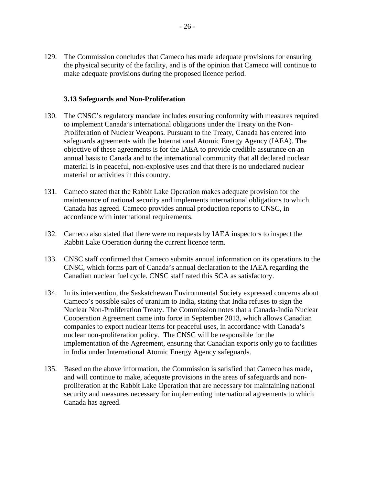<span id="page-30-0"></span>129. The Commission concludes that Cameco has made adequate provisions for ensuring the physical security of the facility, and is of the opinion that Cameco will continue to make adequate provisions during the proposed licence period.

#### **3.13 Safeguards and Non-Proliferation**

- 130. The CNSC's regulatory mandate includes ensuring conformity with measures required to implement Canada's international obligations under the Treaty on the Non-Proliferation of Nuclear Weapons. Pursuant to the Treaty, Canada has entered into safeguards agreements with the International Atomic Energy Agency (IAEA). The objective of these agreements is for the IAEA to provide credible assurance on an annual basis to Canada and to the international community that all declared nuclear material is in peaceful, non-explosive uses and that there is no undeclared nuclear material or activities in this country.
- 131. Cameco stated that the Rabbit Lake Operation makes adequate provision for the maintenance of national security and implements international obligations to which Canada has agreed. Cameco provides annual production reports to CNSC, in accordance with international requirements.
- 132. Cameco also stated that there were no requests by IAEA inspectors to inspect the Rabbit Lake Operation during the current licence term.
- 133. CNSC staff confirmed that Cameco submits annual information on its operations to the CNSC, which forms part of Canada's annual declaration to the IAEA regarding the Canadian nuclear fuel cycle. CNSC staff rated this SCA as satisfactory.
- 134. In its intervention, the Saskatchewan Environmental Society expressed concerns about Cameco's possible sales of uranium to India, stating that India refuses to sign the Nuclear Non-Proliferation Treaty. The Commission notes that a Canada-India Nuclear Cooperation Agreement came into force in September 2013, which allows Canadian companies to export nuclear items for peaceful uses, in accordance with Canada's nuclear non-proliferation policy. The CNSC will be responsible for the implementation of the Agreement, ensuring that Canadian exports only go to facilities in India under International Atomic Energy Agency safeguards.
- 135. Based on the above information, the Commission is satisfied that Cameco has made, and will continue to make, adequate provisions in the areas of safeguards and nonproliferation at the Rabbit Lake Operation that are necessary for maintaining national security and measures necessary for implementing international agreements to which Canada has agreed.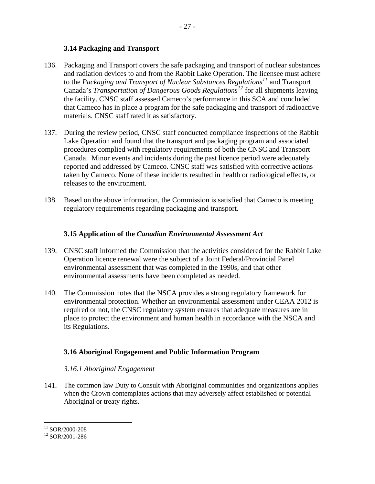#### **3.14 Packaging and Transport**

- <span id="page-31-0"></span>136. Packaging and Transport covers the safe packaging and transport of nuclear substances and radiation devices to and from the Rabbit Lake Operation. The licensee must adhere to the *Packaging and Transport of Nuclear Substances Regulations[11](#page-31-1)* and Transport Canada's *Transportation of Dangerous Goods Regulations[12](#page-31-2)* for all shipments leaving the facility. CNSC staff assessed Cameco's performance in this SCA and concluded that Cameco has in place a program for the safe packaging and transport of radioactive materials. CNSC staff rated it as satisfactory.
- 137. During the review period, CNSC staff conducted compliance inspections of the Rabbit Lake Operation and found that the transport and packaging program and associated procedures complied with regulatory requirements of both the CNSC and Transport Canada. Minor events and incidents during the past licence period were adequately reported and addressed by Cameco. CNSC staff was satisfied with corrective actions taken by Cameco. None of these incidents resulted in health or radiological effects, or releases to the environment.
- 138. Based on the above information, the Commission is satisfied that Cameco is meeting regulatory requirements regarding packaging and transport.

#### **3.15 Application of the** *Canadian Environmental Assessment Act*

- 139. CNSC staff informed the Commission that the activities considered for the Rabbit Lake Operation licence renewal were the subject of a Joint Federal/Provincial Panel environmental assessment that was completed in the 1990s, and that other environmental assessments have been completed as needed.
- 140. The Commission notes that the NSCA provides a strong regulatory framework for environmental protection. Whether an environmental assessment under CEAA 2012 is required or not, the CNSC regulatory system ensures that adequate measures are in place to protect the environment and human health in accordance with the NSCA and its Regulations.

#### **3.16 Aboriginal Engagement and Public Information Program**

#### *3.16.1 Aboriginal Engagement*

141. The common law Duty to Consult with Aboriginal communities and organizations applies when the Crown contemplates actions that may adversely affect established or potential Aboriginal or treaty rights.

 $\overline{a}$ 

<span id="page-31-1"></span><sup>&</sup>lt;sup>11</sup> SOR/2000-208

<span id="page-31-2"></span><sup>12</sup> SOR/2001-286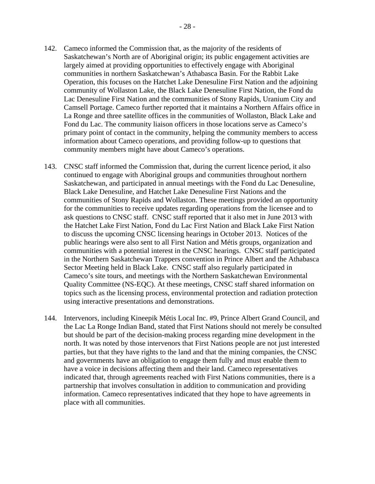- 142. Cameco informed the Commission that, as the majority of the residents of Saskatchewan's North are of Aboriginal origin; its public engagement activities are largely aimed at providing opportunities to effectively engage with Aboriginal communities in northern Saskatchewan's Athabasca Basin. For the Rabbit Lake Operation, this focuses on the Hatchet Lake Denesuline First Nation and the adjoining community of Wollaston Lake, the Black Lake Denesuline First Nation, the Fond du Lac Denesuline First Nation and the communities of Stony Rapids, Uranium City and Camsell Portage. Cameco further reported that it maintains a Northern Affairs office in La Ronge and three satellite offices in the communities of Wollaston, Black Lake and Fond du Lac. The community liaison officers in those locations serve as Cameco's primary point of contact in the community, helping the community members to access information about Cameco operations, and providing follow-up to questions that community members might have about Cameco's operations.
- 143. CNSC staff informed the Commission that, during the current licence period, it also continued to engage with Aboriginal groups and communities throughout northern Saskatchewan, and participated in annual meetings with the Fond du Lac Denesuline, Black Lake Denesuline, and Hatchet Lake Denesuline First Nations and the communities of Stony Rapids and Wollaston. These meetings provided an opportunity for the communities to receive updates regarding operations from the licensee and to ask questions to CNSC staff. CNSC staff reported that it also met in June 2013 with the Hatchet Lake First Nation, Fond du Lac First Nation and Black Lake First Nation to discuss the upcoming CNSC licensing hearings in October 2013. Notices of the public hearings were also sent to all First Nation and Métis groups, organization and communities with a potential interest in the CNSC hearings. CNSC staff participated in the Northern Saskatchewan Trappers convention in Prince Albert and the Athabasca Sector Meeting held in Black Lake. CNSC staff also regularly participated in Cameco's site tours, and meetings with the Northern Saskatchewan Environmental Quality Committee (NS-EQC). At these meetings, CNSC staff shared information on topics such as the licensing process, environmental protection and radiation protection using interactive presentations and demonstrations.
- 144. Intervenors, including Kineepik Métis Local Inc. #9, Prince Albert Grand Council, and the Lac La Ronge Indian Band, stated that First Nations should not merely be consulted but should be part of the decision-making process regarding mine development in the north. It was noted by those intervenors that First Nations people are not just interested parties, but that they have rights to the land and that the mining companies, the CNSC and governments have an obligation to engage them fully and must enable them to have a voice in decisions affecting them and their land. Cameco representatives indicated that, through agreements reached with First Nations communities, there is a partnership that involves consultation in addition to communication and providing information. Cameco representatives indicated that they hope to have agreements in place with all communities.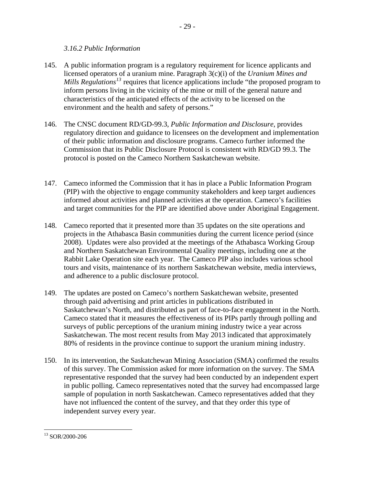#### *3.16.2 Public Information*

- <span id="page-33-0"></span>145. A public information program is a regulatory requirement for licence applicants and licensed operators of a uranium mine. Paragraph 3(c)(i) of the *Uranium Mines and Mills Regulations[13](#page-33-1)* requires that licence applications include "the proposed program to inform persons living in the vicinity of the mine or mill of the general nature and characteristics of the anticipated effects of the activity to be licensed on the environment and the health and safety of persons."
- 146. The CNSC document RD/GD-99.3, *Public Information and Disclosure*, provides regulatory direction and guidance to licensees on the development and implementation of their public information and disclosure programs. Cameco further informed the Commission that its Public Disclosure Protocol is consistent with RD/GD 99.3. The protocol is posted on the Cameco Northern Saskatchewan website.
- 147. Cameco informed the Commission that it has in place a Public Information Program (PIP) with the objective to engage community stakeholders and keep target audiences informed about activities and planned activities at the operation. Cameco's facilities and target communities for the PIP are identified above under Aboriginal Engagement.
- 148. Cameco reported that it presented more than 35 updates on the site operations and projects in the Athabasca Basin communities during the current licence period (since 2008). Updates were also provided at the meetings of the Athabasca Working Group and Northern Saskatchewan Environmental Quality meetings, including one at the Rabbit Lake Operation site each year. The Cameco PIP also includes various school tours and visits, maintenance of its northern Saskatchewan website, media interviews, and adherence to a public disclosure protocol.
- 149. The updates are posted on Cameco's northern Saskatchewan website, presented through paid advertising and print articles in publications distributed in Saskatchewan's North, and distributed as part of face-to-face engagement in the North. Cameco stated that it measures the effectiveness of its PIPs partly through polling and surveys of public perceptions of the uranium mining industry twice a year across Saskatchewan. The most recent results from May 2013 indicated that approximately 80% of residents in the province continue to support the uranium mining industry.
- 150. In its intervention, the Saskatchewan Mining Association (SMA) confirmed the results of this survey. The Commission asked for more information on the survey. The SMA representative responded that the survey had been conducted by an independent expert in public polling. Cameco representatives noted that the survey had encompassed large sample of population in north Saskatchewan. Cameco representatives added that they have not influenced the content of the survey, and that they order this type of independent survey every year.

<span id="page-33-1"></span> $\overline{a}$ 13 SOR/2000-206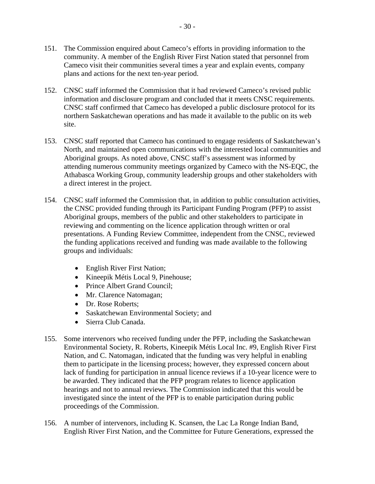- <span id="page-34-0"></span>151. The Commission enquired about Cameco's efforts in providing information to the community. A member of the English River First Nation stated that personnel from Cameco visit their communities several times a year and explain events, company plans and actions for the next ten-year period.
- 152. CNSC staff informed the Commission that it had reviewed Cameco's revised public information and disclosure program and concluded that it meets CNSC requirements. CNSC staff confirmed that Cameco has developed a public disclosure protocol for its northern Saskatchewan operations and has made it available to the public on its web site.
- 153. CNSC staff reported that Cameco has continued to engage residents of Saskatchewan's North, and maintained open communications with the interested local communities and Aboriginal groups. As noted above, CNSC staff's assessment was informed by attending numerous community meetings organized by Cameco with the NS-EQC, the Athabasca Working Group, community leadership groups and other stakeholders with a direct interest in the project.
- 154. CNSC staff informed the Commission that, in addition to public consultation activities, the CNSC provided funding through its Participant Funding Program (PFP) to assist Aboriginal groups, members of the public and other stakeholders to participate in reviewing and commenting on the licence application through written or oral presentations. A Funding Review Committee, independent from the CNSC, reviewed the funding applications received and funding was made available to the following groups and individuals:
	- English River First Nation;
	- Kineepik Métis Local 9, Pinehouse;
	- Prince Albert Grand Council;
	- Mr. Clarence Natomagan;
	- Dr. Rose Roberts;
	- Saskatchewan Environmental Society; and
	- Sierra Club Canada.
- 155. Some intervenors who received funding under the PFP, including the Saskatchewan Environmental Society, R. Roberts, Kineepik Métis Local Inc. #9, English River First Nation, and C. Natomagan, indicated that the funding was very helpful in enabling them to participate in the licensing process; however, they expressed concern about lack of funding for participation in annual licence reviews if a 10-year licence were to be awarded. They indicated that the PFP program relates to licence application hearings and not to annual reviews. The Commission indicated that this would be investigated since the intent of the PFP is to enable participation during public proceedings of the Commission.
- 156. A number of intervenors, including K. Scansen, the Lac La Ronge Indian Band, English River First Nation, and the Committee for Future Generations, expressed the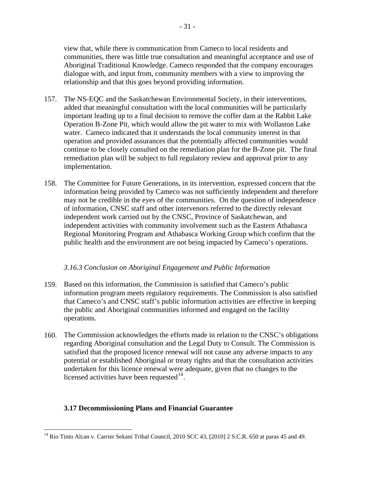view that, while there is communication from Cameco to local residents and communities, there was little true consultation and meaningful acceptance and use of Aboriginal Traditional Knowledge. Cameco responded that the company encourages dialogue with, and input from, community members with a view to improving the relationship and that this goes beyond providing information.

- 157. The NS-EQC and the Saskatchewan Environmental Society, in their interventions, added that meaningful consultation with the local communities will be particularly important leading up to a final decision to remove the coffer dam at the Rabbit Lake Operation B-Zone Pit, which would allow the pit water to mix with Wollaston Lake water. Cameco indicated that it understands the local community interest in that operation and provided assurances that the potentially affected communities would continue to be closely consulted on the remediation plan for the B-Zone pit. The final remediation plan will be subject to full regulatory review and approval prior to any implementation.
- 158. The Committee for Future Generations, in its intervention, expressed concern that the information being provided by Cameco was not sufficiently independent and therefore may not be credible in the eyes of the communities. On the question of independence of information, CNSC staff and other intervenors referred to the directly relevant independent work carried out by the CNSC, Province of Saskatchewan, and independent activities with community involvement such as the Eastern Athabasca Regional Monitoring Program and Athabasca Working Group which confirm that the public health and the environment are not being impacted by Cameco's operations.

#### *3.16.3 Conclusion on Aboriginal Engagement and Public Information*

- 159. Based on this information, the Commission is satisfied that Cameco's public information program meets regulatory requirements. The Commission is also satisfied that Cameco's and CNSC staff's public information activities are effective in keeping the public and Aboriginal communities informed and engaged on the facility operations.
- 160. The Commission acknowledges the efforts made in relation to the CNSC's obligations regarding Aboriginal consultation and the Legal Duty to Consult. The Commission is satisfied that the proposed licence renewal will not cause any adverse impacts to any potential or established Aboriginal or treaty rights and that the consultation activities undertaken for this licence renewal were adequate, given that no changes to the licensed activities have been requested  $14$ .

# **3.17 Decommissioning Plans and Financial Guarantee**

<span id="page-35-0"></span> $\overline{a}$ <sup>14</sup> Rio Tinto Alcan v. Carrier Sekani Tribal Council, 2010 SCC 43, [2010] 2 S.C.R. 650 at paras 45 and 49.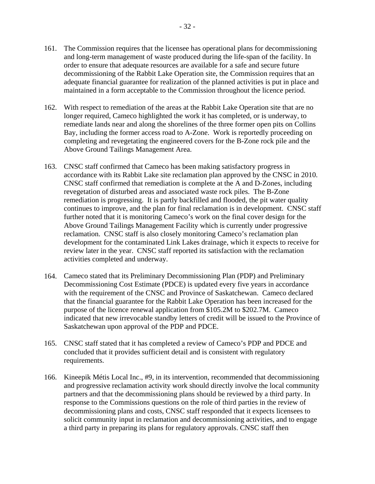- 161. The Commission requires that the licensee has operational plans for decommissioning and long-term management of waste produced during the life-span of the facility. In order to ensure that adequate resources are available for a safe and secure future decommissioning of the Rabbit Lake Operation site, the Commission requires that an adequate financial guarantee for realization of the planned activities is put in place and maintained in a form acceptable to the Commission throughout the licence period.
- 162. With respect to remediation of the areas at the Rabbit Lake Operation site that are no longer required, Cameco highlighted the work it has completed, or is underway, to remediate lands near and along the shorelines of the three former open pits on Collins Bay, including the former access road to A-Zone. Work is reportedly proceeding on completing and revegetating the engineered covers for the B-Zone rock pile and the Above Ground Tailings Management Area.
- 163. CNSC staff confirmed that Cameco has been making satisfactory progress in accordance with its Rabbit Lake site reclamation plan approved by the CNSC in 2010. CNSC staff confirmed that remediation is complete at the A and D-Zones, including revegetation of disturbed areas and associated waste rock piles. The B-Zone remediation is progressing. It is partly backfilled and flooded, the pit water quality continues to improve, and the plan for final reclamation is in development. CNSC staff further noted that it is monitoring Cameco's work on the final cover design for the Above Ground Tailings Management Facility which is currently under progressive reclamation. CNSC staff is also closely monitoring Cameco's reclamation plan development for the contaminated Link Lakes drainage, which it expects to receive for review later in the year. CNSC staff reported its satisfaction with the reclamation activities completed and underway.
- 164. Cameco stated that its Preliminary Decommissioning Plan (PDP) and Preliminary Decommissioning Cost Estimate (PDCE) is updated every five years in accordance with the requirement of the CNSC and Province of Saskatchewan. Cameco declared that the financial guarantee for the Rabbit Lake Operation has been increased for the purpose of the licence renewal application from \$105.2M to \$202.7M. Cameco indicated that new irrevocable standby letters of credit will be issued to the Province of Saskatchewan upon approval of the PDP and PDCE.
- 165. CNSC staff stated that it has completed a review of Cameco's PDP and PDCE and concluded that it provides sufficient detail and is consistent with regulatory requirements.
- 166. Kineepik Métis Local Inc., #9, in its intervention, recommended that decommissioning and progressive reclamation activity work should directly involve the local community partners and that the decommissioning plans should be reviewed by a third party. In response to the Commissions questions on the role of third parties in the review of decommissioning plans and costs, CNSC staff responded that it expects licensees to solicit community input in reclamation and decommissioning activities, and to engage a third party in preparing its plans for regulatory approvals. CNSC staff then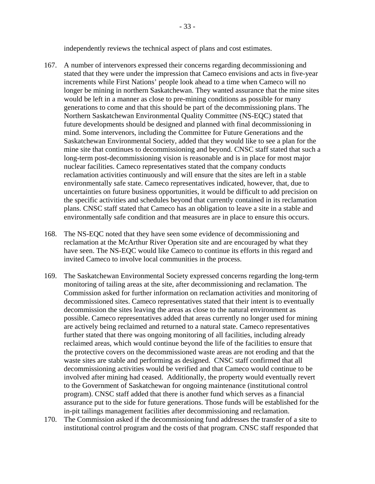independently reviews the technical aspect of plans and cost estimates.

- <span id="page-37-0"></span>167. A number of intervenors expressed their concerns regarding decommissioning and stated that they were under the impression that Cameco envisions and acts in five-year increments while First Nations' people look ahead to a time when Cameco will no longer be mining in northern Saskatchewan. They wanted assurance that the mine sites would be left in a manner as close to pre-mining conditions as possible for many generations to come and that this should be part of the decommissioning plans. The Northern Saskatchewan Environmental Quality Committee (NS-EQC) stated that future developments should be designed and planned with final decommissioning in mind. Some intervenors, including the Committee for Future Generations and the Saskatchewan Environmental Society, added that they would like to see a plan for the mine site that continues to decommissioning and beyond. CNSC staff stated that such a long-term post-decommissioning vision is reasonable and is in place for most major nuclear facilities. Cameco representatives stated that the company conducts reclamation activities continuously and will ensure that the sites are left in a stable environmentally safe state. Cameco representatives indicated, however, that, due to uncertainties on future business opportunities, it would be difficult to add precision on the specific activities and schedules beyond that currently contained in its reclamation plans. CNSC staff stated that Cameco has an obligation to leave a site in a stable and environmentally safe condition and that measures are in place to ensure this occurs.
- 168. The NS-EQC noted that they have seen some evidence of decommissioning and reclamation at the McArthur River Operation site and are encouraged by what they have seen. The NS-EQC would like Cameco to continue its efforts in this regard and invited Cameco to involve local communities in the process.
- 169. The Saskatchewan Environmental Society expressed concerns regarding the long-term monitoring of tailing areas at the site, after decommissioning and reclamation. The Commission asked for further information on reclamation activities and monitoring of decommissioned sites. Cameco representatives stated that their intent is to eventually decommission the sites leaving the areas as close to the natural environment as possible. Cameco representatives added that areas currently no longer used for mining are actively being reclaimed and returned to a natural state. Cameco representatives further stated that there was ongoing monitoring of all facilities, including already reclaimed areas, which would continue beyond the life of the facilities to ensure that the protective covers on the decommissioned waste areas are not eroding and that the waste sites are stable and performing as designed. CNSC staff confirmed that all decommissioning activities would be verified and that Cameco would continue to be involved after mining had ceased. Additionally, the property would eventually revert to the Government of Saskatchewan for ongoing maintenance (institutional control program). CNSC staff added that there is another fund which serves as a financial assurance put to the side for future generations. Those funds will be established for the in-pit tailings management facilities after decommissioning and reclamation.
- 170. The Commission asked if the decommissioning fund addresses the transfer of a site to institutional control program and the costs of that program. CNSC staff responded that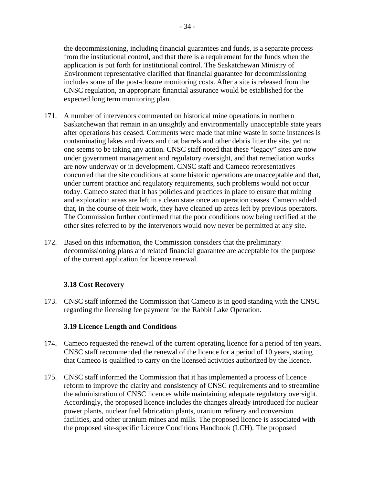the decommissioning, including financial guarantees and funds, is a separate process from the institutional control, and that there is a requirement for the funds when the application is put forth for institutional control. The Saskatchewan Ministry of Environment representative clarified that financial guarantee for decommissioning includes some of the post-closure monitoring costs. After a site is released from the CNSC regulation, an appropriate financial assurance would be established for the expected long term monitoring plan.

- 171. A number of intervenors commented on historical mine operations in northern Saskatchewan that remain in an unsightly and environmentally unacceptable state years after operations has ceased. Comments were made that mine waste in some instances is contaminating lakes and rivers and that barrels and other debris litter the site, yet no one seems to be taking any action. CNSC staff noted that these "legacy" sites are now under government management and regulatory oversight, and that remediation works are now underway or in development. CNSC staff and Cameco representatives concurred that the site conditions at some historic operations are unacceptable and that, under current practice and regulatory requirements, such problems would not occur today. Cameco stated that it has policies and practices in place to ensure that mining and exploration areas are left in a clean state once an operation ceases. Cameco added that, in the course of their work, they have cleaned up areas left by previous operators. The Commission further confirmed that the poor conditions now being rectified at the other sites referred to by the intervenors would now never be permitted at any site.
- 172. Based on this information, the Commission considers that the preliminary decommissioning plans and related financial guarantee are acceptable for the purpose of the current application for licence renewal.

# **3.18 Cost Recovery**

173. CNSC staff informed the Commission that Cameco is in good standing with the CNSC regarding the licensing fee payment for the Rabbit Lake Operation.

#### **3.19 Licence Length and Conditions**

- 174. Cameco requested the renewal of the current operating licence for a period of ten years. CNSC staff recommended the renewal of the licence for a period of 10 years, stating that Cameco is qualified to carry on the licensed activities authorized by the licence.
- 175. CNSC staff informed the Commission that it has implemented a process of licence reform to improve the clarity and consistency of CNSC requirements and to streamline the administration of CNSC licences while maintaining adequate regulatory oversight. Accordingly, the proposed licence includes the changes already introduced for nuclear power plants, nuclear fuel fabrication plants, uranium refinery and conversion facilities, and other uranium mines and mills. The proposed licence is associated with the proposed site-specific Licence Conditions Handbook (LCH). The proposed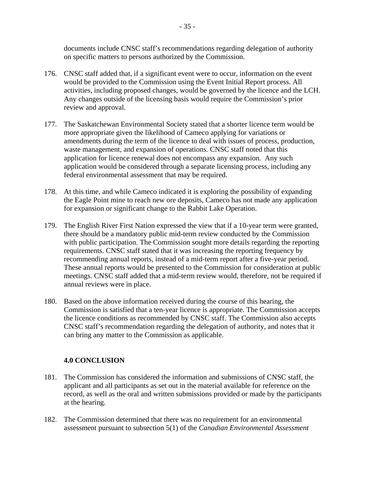<span id="page-39-0"></span>documents include CNSC staff's recommendations regarding delegation of authority on specific matters to persons authorized by the Commission.

- 176. CNSC staff added that, if a significant event were to occur, information on the event would be provided to the Commission using the Event Initial Report process. All activities, including proposed changes, would be governed by the licence and the LCH. Any changes outside of the licensing basis would require the Commission's prior review and approval.
- 177. The Saskatchewan Environmental Society stated that a shorter licence term would be more appropriate given the likelihood of Cameco applying for variations or amendments during the term of the licence to deal with issues of process, production, waste management, and expansion of operations. CNSC staff noted that this application for licence renewal does not encompass any expansion. Any such application would be considered through a separate licensing process, including any federal environmental assessment that may be required.
- 178. At this time, and while Cameco indicated it is exploring the possibility of expanding the Eagle Point mine to reach new ore deposits, Cameco has not made any application for expansion or significant change to the Rabbit Lake Operation.
- 179. The English River First Nation expressed the view that if a 10-year term were granted, there should be a mandatory public mid-term review conducted by the Commission with public participation. The Commission sought more details regarding the reporting requirements. CNSC staff stated that it was increasing the reporting frequency by recommending annual reports, instead of a mid-term report after a five-year period. These annual reports would be presented to the Commission for consideration at public meetings. CNSC staff added that a mid-term review would, therefore, not be required if annual reviews were in place.
- 180. Based on the above information received during the course of this hearing, the Commission is satisfied that a ten-year licence is appropriate. The Commission accepts the licence conditions as recommended by CNSC staff. The Commission also accepts CNSC staff's recommendation regarding the delegation of authority, and notes that it can bring any matter to the Commission as applicable.

#### **4.0 CONCLUSION**

- 181. The Commission has considered the information and submissions of CNSC staff, the applicant and all participants as set out in the material available for reference on the record, as well as the oral and written submissions provided or made by the participants at the hearing.
- 182. The Commission determined that there was no requirement for an environmental assessment pursuant to subsection 5(1) of the *Canadian Environmental Assessment*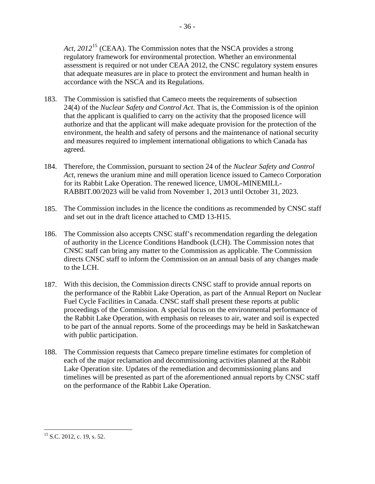*Act, 2012*[15](#page-40-0) (CEAA). The Commission notes that the NSCA provides a strong regulatory framework for environmental protection. Whether an environmental assessment is required or not under CEAA 2012, the CNSC regulatory system ensures that adequate measures are in place to protect the environment and human health in accordance with the NSCA and its Regulations.

- 183. The Commission is satisfied that Cameco meets the requirements of subsection 24(4) of the *Nuclear Safety and Control Act*. That is, the Commission is of the opinion that the applicant is qualified to carry on the activity that the proposed licence will authorize and that the applicant will make adequate provision for the protection of the environment, the health and safety of persons and the maintenance of national security and measures required to implement international obligations to which Canada has agreed.
- 184. Therefore, the Commission, pursuant to section 24 of the *Nuclear Safety and Control Act*, renews the uranium mine and mill operation licence issued to Cameco Corporation for its Rabbit Lake Operation. The renewed licence, UMOL-MINEMILL-RABBIT.00/2023 will be valid from November 1, 2013 until October 31, 2023.
- 185. The Commission includes in the licence the conditions as recommended by CNSC staff and set out in the draft licence attached to CMD 13-H15.
- 186. The Commission also accepts CNSC staff's recommendation regarding the delegation of authority in the Licence Conditions Handbook (LCH). The Commission notes that CNSC staff can bring any matter to the Commission as applicable. The Commission directs CNSC staff to inform the Commission on an annual basis of any changes made to the LCH.
- 187. With this decision, the Commission directs CNSC staff to provide annual reports on the performance of the Rabbit Lake Operation, as part of the Annual Report on Nuclear Fuel Cycle Facilities in Canada. CNSC staff shall present these reports at public proceedings of the Commission. A special focus on the environmental performance of the Rabbit Lake Operation, with emphasis on releases to air, water and soil is expected to be part of the annual reports. Some of the proceedings may be held in Saskatchewan with public participation.
- 188. The Commission requests that Cameco prepare timeline estimates for completion of each of the major reclamation and decommissioning activities planned at the Rabbit Lake Operation site. Updates of the remediation and decommissioning plans and timelines will be presented as part of the aforementioned annual reports by CNSC staff on the performance of the Rabbit Lake Operation.

 $\overline{a}$ 

<span id="page-40-0"></span> $15$  S.C. 2012, c. 19, s. 52.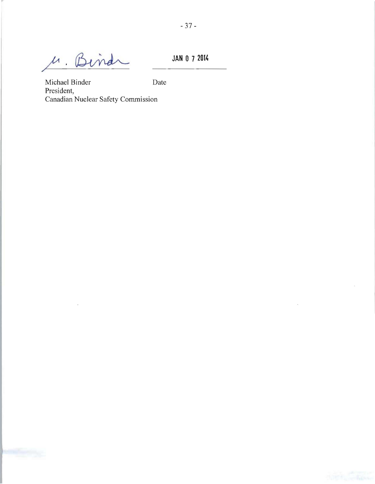M. Binds

 $\bar{\alpha}$ 

**JAN** 0 7 **20M** 

Michael Binder Date President, Canadian Nuclear Safety Commission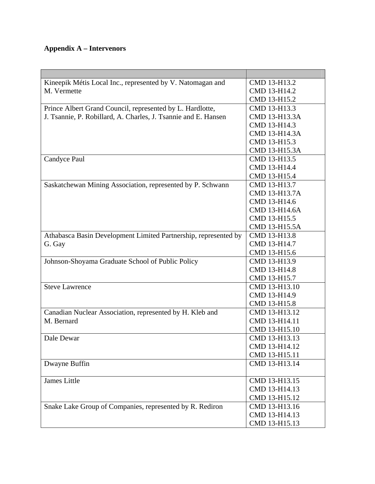# <span id="page-42-0"></span>**Appendix A – Intervenors**

| Kineepik Métis Local Inc., represented by V. Natomagan and      | CMD 13-H13.2  |
|-----------------------------------------------------------------|---------------|
| M. Vermette                                                     | CMD 13-H14.2  |
|                                                                 | CMD 13-H15.2  |
| Prince Albert Grand Council, represented by L. Hardlotte,       | CMD 13-H13.3  |
| J. Tsannie, P. Robillard, A. Charles, J. Tsannie and E. Hansen  | CMD 13-H13.3A |
|                                                                 | CMD 13-H14.3  |
|                                                                 | CMD 13-H14.3A |
|                                                                 | CMD 13-H15.3  |
|                                                                 | CMD 13-H15.3A |
| Candyce Paul                                                    | CMD 13-H13.5  |
|                                                                 | CMD 13-H14.4  |
|                                                                 | CMD 13-H15.4  |
| Saskatchewan Mining Association, represented by P. Schwann      | CMD 13-H13.7  |
|                                                                 | CMD 13-H13.7A |
|                                                                 | CMD 13-H14.6  |
|                                                                 | CMD 13-H14.6A |
|                                                                 | CMD 13-H15.5  |
|                                                                 | CMD 13-H15.5A |
| Athabasca Basin Development Limited Partnership, represented by | CMD 13-H13.8  |
| G. Gay                                                          | CMD 13-H14.7  |
|                                                                 | CMD 13-H15.6  |
| Johnson-Shoyama Graduate School of Public Policy                | CMD 13-H13.9  |
|                                                                 | CMD 13-H14.8  |
|                                                                 | CMD 13-H15.7  |
| <b>Steve Lawrence</b>                                           | CMD 13-H13.10 |
|                                                                 | CMD 13-H14.9  |
|                                                                 | CMD 13-H15.8  |
| Canadian Nuclear Association, represented by H. Kleb and        | CMD 13-H13.12 |
| M. Bernard                                                      | CMD 13-H14.11 |
|                                                                 | CMD 13-H15.10 |
| Dale Dewar                                                      | CMD 13-H13.13 |
|                                                                 | CMD 13-H14.12 |
|                                                                 | CMD 13-H15.11 |
| Dwayne Buffin                                                   | CMD 13-H13.14 |
|                                                                 |               |
| James Little                                                    | CMD 13-H13.15 |
|                                                                 | CMD 13-H14.13 |
|                                                                 | CMD 13-H15.12 |
| Snake Lake Group of Companies, represented by R. Rediron        | CMD 13-H13.16 |
|                                                                 | CMD 13-H14.13 |
|                                                                 | CMD 13-H15.13 |